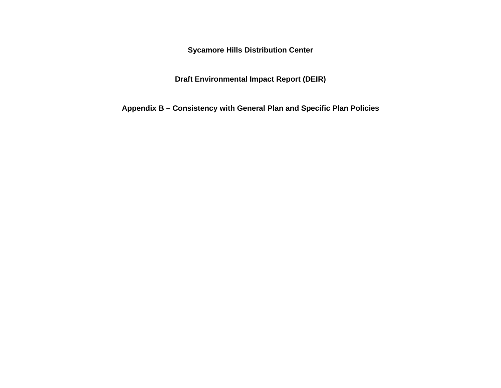**Sycamore Hills Distribution Center**

**Draft Environmental Impact Report (DEIR)**

**Appendix B – Consistency with General Plan and Specific Plan Policies**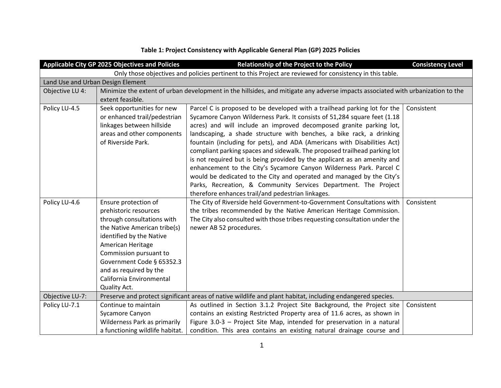|                 | <b>Applicable City GP 2025 Objectives and Policies</b>                                                                                                                                                                                                                                    | Relationship of the Project to the Policy                                                                                                                                                                                                                                                                                                                                                                                                                                                                                                                                                                        | <b>Consistency Level</b> |  |
|-----------------|-------------------------------------------------------------------------------------------------------------------------------------------------------------------------------------------------------------------------------------------------------------------------------------------|------------------------------------------------------------------------------------------------------------------------------------------------------------------------------------------------------------------------------------------------------------------------------------------------------------------------------------------------------------------------------------------------------------------------------------------------------------------------------------------------------------------------------------------------------------------------------------------------------------------|--------------------------|--|
|                 |                                                                                                                                                                                                                                                                                           | Only those objectives and policies pertinent to this Project are reviewed for consistency in this table.                                                                                                                                                                                                                                                                                                                                                                                                                                                                                                         |                          |  |
|                 | Land Use and Urban Design Element                                                                                                                                                                                                                                                         |                                                                                                                                                                                                                                                                                                                                                                                                                                                                                                                                                                                                                  |                          |  |
| Objective LU 4: |                                                                                                                                                                                                                                                                                           | Minimize the extent of urban development in the hillsides, and mitigate any adverse impacts associated with urbanization to the                                                                                                                                                                                                                                                                                                                                                                                                                                                                                  |                          |  |
|                 | extent feasible.                                                                                                                                                                                                                                                                          |                                                                                                                                                                                                                                                                                                                                                                                                                                                                                                                                                                                                                  |                          |  |
| Policy LU-4.5   | Seek opportunities for new<br>or enhanced trail/pedestrian<br>linkages between hillside<br>areas and other components<br>of Riverside Park.                                                                                                                                               | Parcel C is proposed to be developed with a trailhead parking lot for the<br>Sycamore Canyon Wilderness Park. It consists of 51,284 square feet (1.18<br>acres) and will include an improved decomposed granite parking lot,<br>landscaping, a shade structure with benches, a bike rack, a drinking<br>fountain (including for pets), and ADA (Americans with Disabilities Act)<br>compliant parking spaces and sidewalk. The proposed trailhead parking lot<br>is not required but is being provided by the applicant as an amenity and<br>enhancement to the City's Sycamore Canyon Wilderness Park. Parcel C | Consistent               |  |
|                 |                                                                                                                                                                                                                                                                                           | would be dedicated to the City and operated and managed by the City's<br>Parks, Recreation, & Community Services Department. The Project<br>therefore enhances trail/and pedestrian linkages.                                                                                                                                                                                                                                                                                                                                                                                                                    |                          |  |
| Policy LU-4.6   | Ensure protection of<br>prehistoric resources<br>through consultations with<br>the Native American tribe(s)<br>identified by the Native<br>American Heritage<br>Commission pursuant to<br>Government Code § 65352.3<br>and as required by the<br>California Environmental<br>Quality Act. | The City of Riverside held Government-to-Government Consultations with<br>the tribes recommended by the Native American Heritage Commission.<br>The City also consulted with those tribes requesting consultation under the<br>newer AB 52 procedures.                                                                                                                                                                                                                                                                                                                                                           | Consistent               |  |
| Objective LU-7: |                                                                                                                                                                                                                                                                                           | Preserve and protect significant areas of native wildlife and plant habitat, including endangered species.                                                                                                                                                                                                                                                                                                                                                                                                                                                                                                       |                          |  |
| Policy LU-7.1   | Continue to maintain<br>Sycamore Canyon<br>Wilderness Park as primarily<br>a functioning wildlife habitat.                                                                                                                                                                                | As outlined in Section 3.1.2 Project Site Background, the Project site<br>contains an existing Restricted Property area of 11.6 acres, as shown in<br>Figure 3.0-3 - Project Site Map, intended for preservation in a natural<br>condition. This area contains an existing natural drainage course and                                                                                                                                                                                                                                                                                                           | Consistent               |  |

## **Table 1: Project Consistency with Applicable General Plan (GP) 2025 Policies**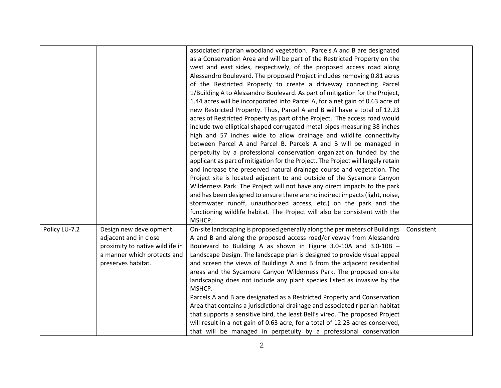|               |                                                                                                                                         | associated riparian woodland vegetation. Parcels A and B are designated<br>as a Conservation Area and will be part of the Restricted Property on the<br>west and east sides, respectively, of the proposed access road along<br>Alessandro Boulevard. The proposed Project includes removing 0.81 acres<br>of the Restricted Property to create a driveway connecting Parcel<br>1/Building A to Alessandro Boulevard. As part of mitigation for the Project,<br>1.44 acres will be incorporated into Parcel A, for a net gain of 0.63 acre of<br>new Restricted Property. Thus, Parcel A and B will have a total of 12.23<br>acres of Restricted Property as part of the Project. The access road would<br>include two elliptical shaped corrugated metal pipes measuring 38 inches<br>high and 57 inches wide to allow drainage and wildlife connectivity<br>between Parcel A and Parcel B. Parcels A and B will be managed in<br>perpetuity by a professional conservation organization funded by the<br>applicant as part of mitigation for the Project. The Project will largely retain<br>and increase the preserved natural drainage course and vegetation. The<br>Project site is located adjacent to and outside of the Sycamore Canyon<br>Wilderness Park. The Project will not have any direct impacts to the park<br>and has been designed to ensure there are no indirect impacts (light, noise,<br>stormwater runoff, unauthorized access, etc.) on the park and the<br>functioning wildlife habitat. The Project will also be consistent with the |            |
|---------------|-----------------------------------------------------------------------------------------------------------------------------------------|-----------------------------------------------------------------------------------------------------------------------------------------------------------------------------------------------------------------------------------------------------------------------------------------------------------------------------------------------------------------------------------------------------------------------------------------------------------------------------------------------------------------------------------------------------------------------------------------------------------------------------------------------------------------------------------------------------------------------------------------------------------------------------------------------------------------------------------------------------------------------------------------------------------------------------------------------------------------------------------------------------------------------------------------------------------------------------------------------------------------------------------------------------------------------------------------------------------------------------------------------------------------------------------------------------------------------------------------------------------------------------------------------------------------------------------------------------------------------------------------------------------------------------------------------------------------|------------|
| Policy LU-7.2 | Design new development<br>adjacent and in close<br>proximity to native wildlife in<br>a manner which protects and<br>preserves habitat. | MSHCP.<br>On-site landscaping is proposed generally along the perimeters of Buildings<br>A and B and along the proposed access road/driveway from Alessandro<br>Boulevard to Building A as shown in Figure 3.0-10A and 3.0-10B -<br>Landscape Design. The landscape plan is designed to provide visual appeal<br>and screen the views of Buildings A and B from the adjacent residential<br>areas and the Sycamore Canyon Wilderness Park. The proposed on-site<br>landscaping does not include any plant species listed as invasive by the<br>MSHCP.<br>Parcels A and B are designated as a Restricted Property and Conservation<br>Area that contains a jurisdictional drainage and associated riparian habitat<br>that supports a sensitive bird, the least Bell's vireo. The proposed Project<br>will result in a net gain of 0.63 acre, for a total of 12.23 acres conserved,<br>that will be managed in perpetuity by a professional conservation                                                                                                                                                                                                                                                                                                                                                                                                                                                                                                                                                                                                         | Consistent |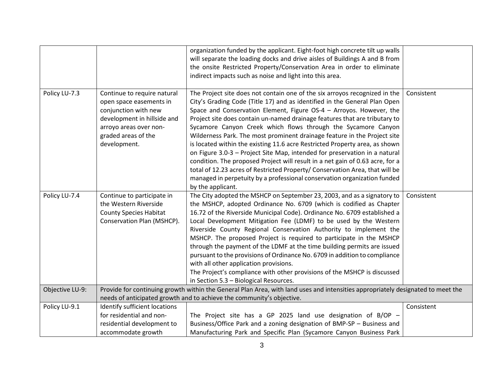|                 |                                                                                                                                                                                | organization funded by the applicant. Eight-foot high concrete tilt up walls                                                                                                                                                                                                                                                                                                                                                                                                                                                                                                                                                                                                                                                                                                                                                                                        |            |
|-----------------|--------------------------------------------------------------------------------------------------------------------------------------------------------------------------------|---------------------------------------------------------------------------------------------------------------------------------------------------------------------------------------------------------------------------------------------------------------------------------------------------------------------------------------------------------------------------------------------------------------------------------------------------------------------------------------------------------------------------------------------------------------------------------------------------------------------------------------------------------------------------------------------------------------------------------------------------------------------------------------------------------------------------------------------------------------------|------------|
|                 |                                                                                                                                                                                | will separate the loading docks and drive aisles of Buildings A and B from                                                                                                                                                                                                                                                                                                                                                                                                                                                                                                                                                                                                                                                                                                                                                                                          |            |
|                 |                                                                                                                                                                                | the onsite Restricted Property/Conservation Area in order to eliminate                                                                                                                                                                                                                                                                                                                                                                                                                                                                                                                                                                                                                                                                                                                                                                                              |            |
|                 |                                                                                                                                                                                | indirect impacts such as noise and light into this area.                                                                                                                                                                                                                                                                                                                                                                                                                                                                                                                                                                                                                                                                                                                                                                                                            |            |
| Policy LU-7.3   | Continue to require natural<br>open space easements in<br>conjunction with new<br>development in hillside and<br>arroyo areas over non-<br>graded areas of the<br>development. | The Project site does not contain one of the six arroyos recognized in the<br>City's Grading Code (Title 17) and as identified in the General Plan Open<br>Space and Conservation Element, Figure OS-4 - Arroyos. However, the<br>Project site does contain un-named drainage features that are tributary to<br>Sycamore Canyon Creek which flows through the Sycamore Canyon<br>Wilderness Park. The most prominent drainage feature in the Project site<br>is located within the existing 11.6 acre Restricted Property area, as shown<br>on Figure 3.0-3 - Project Site Map, intended for preservation in a natural<br>condition. The proposed Project will result in a net gain of 0.63 acre, for a<br>total of 12.23 acres of Restricted Property/ Conservation Area, that will be<br>managed in perpetuity by a professional conservation organization funded | Consistent |
|                 |                                                                                                                                                                                | by the applicant.                                                                                                                                                                                                                                                                                                                                                                                                                                                                                                                                                                                                                                                                                                                                                                                                                                                   |            |
| Policy LU-7.4   | Continue to participate in<br>the Western Riverside<br><b>County Species Habitat</b><br>Conservation Plan (MSHCP).                                                             | The City adopted the MSHCP on September 23, 2003, and as a signatory to<br>the MSHCP, adopted Ordinance No. 6709 (which is codified as Chapter<br>16.72 of the Riverside Municipal Code). Ordinance No. 6709 established a<br>Local Development Mitigation Fee (LDMF) to be used by the Western<br>Riverside County Regional Conservation Authority to implement the<br>MSHCP. The proposed Project is required to participate in the MSHCP<br>through the payment of the LDMF at the time building permits are issued<br>pursuant to the provisions of Ordinance No. 6709 in addition to compliance<br>with all other application provisions.<br>The Project's compliance with other provisions of the MSHCP is discussed<br>in Section 5.3 - Biological Resources.                                                                                                | Consistent |
| Objective LU-9: |                                                                                                                                                                                | Provide for continuing growth within the General Plan Area, with land uses and intensities appropriately designated to meet the                                                                                                                                                                                                                                                                                                                                                                                                                                                                                                                                                                                                                                                                                                                                     |            |
|                 |                                                                                                                                                                                | needs of anticipated growth and to achieve the community's objective.                                                                                                                                                                                                                                                                                                                                                                                                                                                                                                                                                                                                                                                                                                                                                                                               |            |
| Policy LU-9.1   | Identify sufficient locations                                                                                                                                                  |                                                                                                                                                                                                                                                                                                                                                                                                                                                                                                                                                                                                                                                                                                                                                                                                                                                                     | Consistent |
|                 | for residential and non-                                                                                                                                                       | The Project site has a GP 2025 land use designation of B/OP $-$                                                                                                                                                                                                                                                                                                                                                                                                                                                                                                                                                                                                                                                                                                                                                                                                     |            |
|                 | residential development to                                                                                                                                                     | Business/Office Park and a zoning designation of BMP-SP - Business and                                                                                                                                                                                                                                                                                                                                                                                                                                                                                                                                                                                                                                                                                                                                                                                              |            |
|                 | accommodate growth                                                                                                                                                             | Manufacturing Park and Specific Plan (Sycamore Canyon Business Park                                                                                                                                                                                                                                                                                                                                                                                                                                                                                                                                                                                                                                                                                                                                                                                                 |            |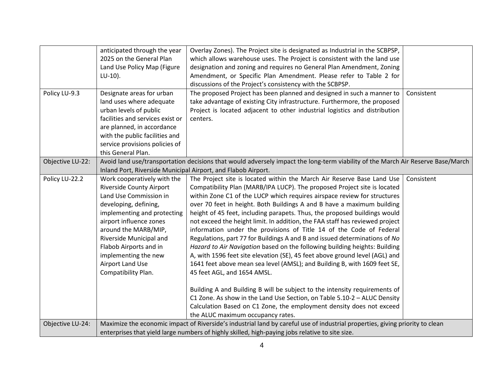|                  | anticipated through the year                                  | Overlay Zones). The Project site is designated as Industrial in the SCBPSP,                                                     |            |
|------------------|---------------------------------------------------------------|---------------------------------------------------------------------------------------------------------------------------------|------------|
|                  | 2025 on the General Plan                                      | which allows warehouse uses. The Project is consistent with the land use                                                        |            |
|                  | Land Use Policy Map (Figure                                   | designation and zoning and requires no General Plan Amendment, Zoning                                                           |            |
|                  | $LU-10$ ).                                                    | Amendment, or Specific Plan Amendment. Please refer to Table 2 for                                                              |            |
|                  |                                                               | discussions of the Project's consistency with the SCBPSP.                                                                       |            |
| Policy LU-9.3    | Designate areas for urban                                     | The proposed Project has been planned and designed in such a manner to                                                          | Consistent |
|                  | land uses where adequate                                      | take advantage of existing City infrastructure. Furthermore, the proposed                                                       |            |
|                  | urban levels of public                                        | Project is located adjacent to other industrial logistics and distribution                                                      |            |
|                  | facilities and services exist or                              | centers.                                                                                                                        |            |
|                  | are planned, in accordance                                    |                                                                                                                                 |            |
|                  | with the public facilities and                                |                                                                                                                                 |            |
|                  | service provisions policies of                                |                                                                                                                                 |            |
|                  | this General Plan.                                            |                                                                                                                                 |            |
| Objective LU-22: |                                                               | Avoid land use/transportation decisions that would adversely impact the long-term viability of the March Air Reserve Base/March |            |
|                  | Inland Port, Riverside Municipal Airport, and Flabob Airport. |                                                                                                                                 |            |
| Policy LU-22.2   | Work cooperatively with the                                   | The Project site is located within the March Air Reserve Base Land Use                                                          | Consistent |
|                  | <b>Riverside County Airport</b>                               | Compatibility Plan (MARB/IPA LUCP). The proposed Project site is located                                                        |            |
|                  | Land Use Commission in                                        | within Zone C1 of the LUCP which requires airspace review for structures                                                        |            |
|                  | developing, defining,                                         | over 70 feet in height. Both Buildings A and B have a maximum building                                                          |            |
|                  | implementing and protecting                                   | height of 45 feet, including parapets. Thus, the proposed buildings would                                                       |            |
|                  | airport influence zones                                       | not exceed the height limit. In addition, the FAA staff has reviewed project                                                    |            |
|                  | around the MARB/MIP,                                          | information under the provisions of Title 14 of the Code of Federal                                                             |            |
|                  | Riverside Municipal and                                       | Regulations, part 77 for Buildings A and B and issued determinations of No                                                      |            |
|                  | Flabob Airports and in                                        | Hazard to Air Navigation based on the following building heights: Building                                                      |            |
|                  | implementing the new                                          | A, with 1596 feet site elevation (SE), 45 feet above ground level (AGL) and                                                     |            |
|                  | Airport Land Use                                              | 1641 feet above mean sea level (AMSL); and Building B, with 1609 feet SE,                                                       |            |
|                  | Compatibility Plan.                                           | 45 feet AGL, and 1654 AMSL.                                                                                                     |            |
|                  |                                                               |                                                                                                                                 |            |
|                  |                                                               | Building A and Building B will be subject to the intensity requirements of                                                      |            |
|                  |                                                               | C1 Zone. As show in the Land Use Section, on Table 5.10-2 - ALUC Density                                                        |            |
|                  |                                                               | Calculation Based on C1 Zone, the employment density does not exceed                                                            |            |
|                  |                                                               | the ALUC maximum occupancy rates.                                                                                               |            |
| Objective LU-24: |                                                               | Maximize the economic impact of Riverside's industrial land by careful use of industrial properties, giving priority to clean   |            |
|                  |                                                               | enterprises that yield large numbers of highly skilled, high-paying jobs relative to site size.                                 |            |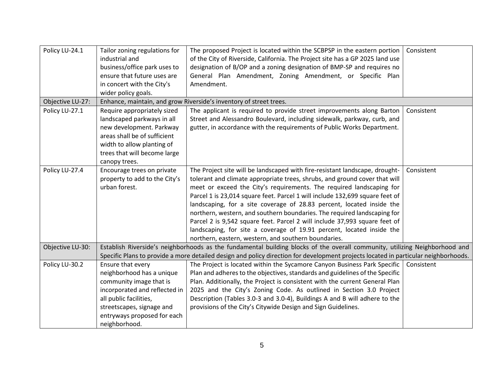| Policy LU-24.1   | Tailor zoning regulations for<br>industrial and<br>business/office park uses to<br>ensure that future uses are<br>in concert with the City's<br>wider policy goals.                                               | The proposed Project is located within the SCBPSP in the eastern portion<br>of the City of Riverside, California. The Project site has a GP 2025 land use<br>designation of B/OP and a zoning designation of BMP-SP and requires no<br>General Plan Amendment, Zoning Amendment, or Specific Plan<br>Amendment.                                                                                                                                                                                                                                                                                                                                                                       | Consistent |
|------------------|-------------------------------------------------------------------------------------------------------------------------------------------------------------------------------------------------------------------|---------------------------------------------------------------------------------------------------------------------------------------------------------------------------------------------------------------------------------------------------------------------------------------------------------------------------------------------------------------------------------------------------------------------------------------------------------------------------------------------------------------------------------------------------------------------------------------------------------------------------------------------------------------------------------------|------------|
| Objective LU-27: |                                                                                                                                                                                                                   | Enhance, maintain, and grow Riverside's inventory of street trees.                                                                                                                                                                                                                                                                                                                                                                                                                                                                                                                                                                                                                    |            |
| Policy LU-27.1   | Require appropriately sized<br>landscaped parkways in all<br>new development. Parkway<br>areas shall be of sufficient<br>width to allow planting of<br>trees that will become large<br>canopy trees.              | The applicant is required to provide street improvements along Barton<br>Street and Alessandro Boulevard, including sidewalk, parkway, curb, and<br>gutter, in accordance with the requirements of Public Works Department.                                                                                                                                                                                                                                                                                                                                                                                                                                                           | Consistent |
| Policy LU-27.4   | Encourage trees on private<br>property to add to the City's<br>urban forest.                                                                                                                                      | The Project site will be landscaped with fire-resistant landscape, drought-<br>tolerant and climate appropriate trees, shrubs, and ground cover that will<br>meet or exceed the City's requirements. The required landscaping for<br>Parcel 1 is 23,014 square feet. Parcel 1 will include 132,699 square feet of<br>landscaping, for a site coverage of 28.83 percent, located inside the<br>northern, western, and southern boundaries. The required landscaping for<br>Parcel 2 is 9,542 square feet. Parcel 2 will include 37,993 square feet of<br>landscaping, for site a coverage of 19.91 percent, located inside the<br>northern, eastern, western, and southern boundaries. | Consistent |
| Objective LU-30: |                                                                                                                                                                                                                   | Establish Riverside's neighborhoods as the fundamental building blocks of the overall community, utilizing Neighborhood and<br>Specific Plans to provide a more detailed design and policy direction for development projects located in particular neighborhoods.                                                                                                                                                                                                                                                                                                                                                                                                                    |            |
| Policy LU-30.2   | Ensure that every<br>neighborhood has a unique<br>community image that is<br>incorporated and reflected in<br>all public facilities,<br>streetscapes, signage and<br>entryways proposed for each<br>neighborhood. | The Project is located within the Sycamore Canyon Business Park Specific<br>Plan and adheres to the objectives, standards and guidelines of the Specific<br>Plan. Additionally, the Project is consistent with the current General Plan<br>2025 and the City's Zoning Code. As outlined in Section 3.0 Project<br>Description (Tables 3.0-3 and 3.0-4), Buildings A and B will adhere to the<br>provisions of the City's Citywide Design and Sign Guidelines.                                                                                                                                                                                                                         | Consistent |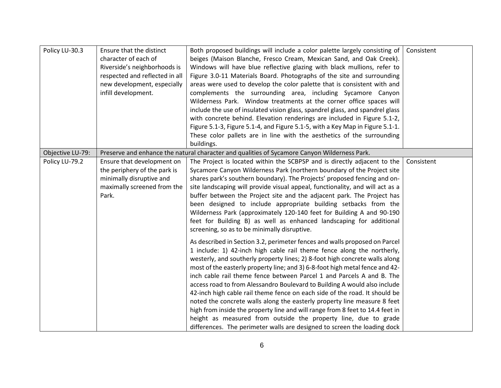| Policy LU-30.3   | Ensure that the distinct<br>character of each of<br>Riverside's neighborhoods is<br>respected and reflected in all<br>new development, especially<br>infill development. | Both proposed buildings will include a color palette largely consisting of<br>beiges (Maison Blanche, Fresco Cream, Mexican Sand, and Oak Creek).<br>Windows will have blue reflective glazing with black mullions, refer to<br>Figure 3.0-11 Materials Board. Photographs of the site and surrounding<br>areas were used to develop the color palette that is consistent with and<br>complements the surrounding area, including Sycamore Canyon<br>Wilderness Park. Window treatments at the corner office spaces will<br>include the use of insulated vision glass, spandrel glass, and spandrel glass<br>with concrete behind. Elevation renderings are included in Figure 5.1-2,<br>Figure 5.1-3, Figure 5.1-4, and Figure 5.1-5, with a Key Map in Figure 5.1-1.<br>These color pallets are in line with the aesthetics of the surrounding<br>buildings.      | Consistent |
|------------------|--------------------------------------------------------------------------------------------------------------------------------------------------------------------------|---------------------------------------------------------------------------------------------------------------------------------------------------------------------------------------------------------------------------------------------------------------------------------------------------------------------------------------------------------------------------------------------------------------------------------------------------------------------------------------------------------------------------------------------------------------------------------------------------------------------------------------------------------------------------------------------------------------------------------------------------------------------------------------------------------------------------------------------------------------------|------------|
| Objective LU-79: |                                                                                                                                                                          | Preserve and enhance the natural character and qualities of Sycamore Canyon Wilderness Park.                                                                                                                                                                                                                                                                                                                                                                                                                                                                                                                                                                                                                                                                                                                                                                        |            |
| Policy LU-79.2   | Ensure that development on<br>the periphery of the park is<br>minimally disruptive and<br>maximally screened from the<br>Park.                                           | The Project is located within the SCBPSP and is directly adjacent to the<br>Sycamore Canyon Wilderness Park (northern boundary of the Project site<br>shares park's southern boundary). The Projects' proposed fencing and on-<br>site landscaping will provide visual appeal, functionality, and will act as a<br>buffer between the Project site and the adjacent park. The Project has<br>been designed to include appropriate building setbacks from the<br>Wilderness Park (approximately 120-140 feet for Building A and 90-190<br>feet for Building B) as well as enhanced landscaping for additional<br>screening, so as to be minimally disruptive.                                                                                                                                                                                                        | Consistent |
|                  |                                                                                                                                                                          | As described in Section 3.2, perimeter fences and walls proposed on Parcel<br>1 include: 1) 42-inch high cable rail theme fence along the northerly,<br>westerly, and southerly property lines; 2) 8-foot high concrete walls along<br>most of the easterly property line; and 3) 6-8-foot high metal fence and 42-<br>inch cable rail theme fence between Parcel 1 and Parcels A and B. The<br>access road to from Alessandro Boulevard to Building A would also include<br>42-inch high cable rail theme fence on each side of the road. It should be<br>noted the concrete walls along the easterly property line measure 8 feet<br>high from inside the property line and will range from 8 feet to 14.4 feet in<br>height as measured from outside the property line, due to grade<br>differences. The perimeter walls are designed to screen the loading dock |            |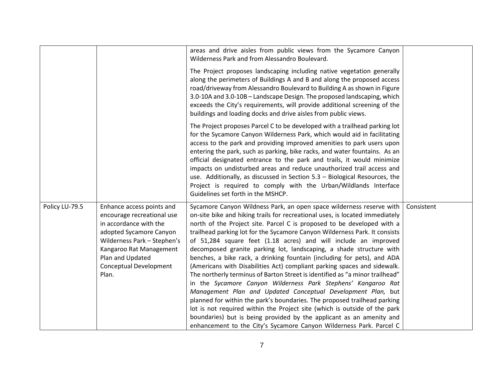|                |                                                                                                                                                                                                                               | areas and drive aisles from public views from the Sycamore Canyon<br>Wilderness Park and from Alessandro Boulevard.                                                                                                                                                                                                                                                                                                                                                                                                                                                                                                                                                                                                                                                                                                                                                                                                                                                                                                                                                                                                                    |            |
|----------------|-------------------------------------------------------------------------------------------------------------------------------------------------------------------------------------------------------------------------------|----------------------------------------------------------------------------------------------------------------------------------------------------------------------------------------------------------------------------------------------------------------------------------------------------------------------------------------------------------------------------------------------------------------------------------------------------------------------------------------------------------------------------------------------------------------------------------------------------------------------------------------------------------------------------------------------------------------------------------------------------------------------------------------------------------------------------------------------------------------------------------------------------------------------------------------------------------------------------------------------------------------------------------------------------------------------------------------------------------------------------------------|------------|
|                |                                                                                                                                                                                                                               | The Project proposes landscaping including native vegetation generally<br>along the perimeters of Buildings A and B and along the proposed access<br>road/driveway from Alessandro Boulevard to Building A as shown in Figure<br>3.0-10A and 3.0-10B - Landscape Design. The proposed landscaping, which<br>exceeds the City's requirements, will provide additional screening of the<br>buildings and loading docks and drive aisles from public views.                                                                                                                                                                                                                                                                                                                                                                                                                                                                                                                                                                                                                                                                               |            |
|                |                                                                                                                                                                                                                               | The Project proposes Parcel C to be developed with a trailhead parking lot<br>for the Sycamore Canyon Wilderness Park, which would aid in facilitating<br>access to the park and providing improved amenities to park users upon<br>entering the park, such as parking, bike racks, and water fountains. As an<br>official designated entrance to the park and trails, it would minimize<br>impacts on undisturbed areas and reduce unauthorized trail access and<br>use. Additionally, as discussed in Section 5.3 - Biological Resources, the<br>Project is required to comply with the Urban/Wildlands Interface<br>Guidelines set forth in the MSHCP.                                                                                                                                                                                                                                                                                                                                                                                                                                                                              |            |
| Policy LU-79.5 | Enhance access points and<br>encourage recreational use<br>in accordance with the<br>adopted Sycamore Canyon<br>Wilderness Park - Stephen's<br>Kangaroo Rat Management<br>Plan and Updated<br>Conceptual Development<br>Plan. | Sycamore Canyon Wildness Park, an open space wilderness reserve with<br>on-site bike and hiking trails for recreational uses, is located immediately<br>north of the Project site. Parcel C is proposed to be developed with a<br>trailhead parking lot for the Sycamore Canyon Wilderness Park. It consists<br>of 51,284 square feet (1.18 acres) and will include an improved<br>decomposed granite parking lot, landscaping, a shade structure with<br>benches, a bike rack, a drinking fountain (including for pets), and ADA<br>(Americans with Disabilities Act) compliant parking spaces and sidewalk.<br>The northerly terminus of Barton Street is identified as "a minor trailhead"<br>in the Sycamore Canyon Wilderness Park Stephens' Kangaroo Rat<br>Management Plan and Updated Conceptual Development Plan, but<br>planned for within the park's boundaries. The proposed trailhead parking<br>lot is not required within the Project site (which is outside of the park<br>boundaries) but is being provided by the applicant as an amenity and<br>enhancement to the City's Sycamore Canyon Wilderness Park. Parcel C | Consistent |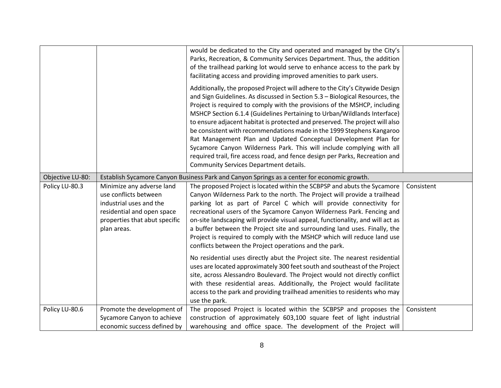|                  |                                                                                                                                                             | would be dedicated to the City and operated and managed by the City's<br>Parks, Recreation, & Community Services Department. Thus, the addition<br>of the trailhead parking lot would serve to enhance access to the park by<br>facilitating access and providing improved amenities to park users.                                                                                                                                                                                                                                                                                                                                                                                                                                                  |            |
|------------------|-------------------------------------------------------------------------------------------------------------------------------------------------------------|------------------------------------------------------------------------------------------------------------------------------------------------------------------------------------------------------------------------------------------------------------------------------------------------------------------------------------------------------------------------------------------------------------------------------------------------------------------------------------------------------------------------------------------------------------------------------------------------------------------------------------------------------------------------------------------------------------------------------------------------------|------------|
|                  |                                                                                                                                                             | Additionally, the proposed Project will adhere to the City's Citywide Design<br>and Sign Guidelines. As discussed in Section 5.3 - Biological Resources, the<br>Project is required to comply with the provisions of the MSHCP, including<br>MSHCP Section 6.1.4 (Guidelines Pertaining to Urban/Wildlands Interface)<br>to ensure adjacent habitat is protected and preserved. The project will also<br>be consistent with recommendations made in the 1999 Stephens Kangaroo<br>Rat Management Plan and Updated Conceptual Development Plan for<br>Sycamore Canyon Wilderness Park. This will include complying with all<br>required trail, fire access road, and fence design per Parks, Recreation and<br>Community Services Department details. |            |
| Objective LU-80: |                                                                                                                                                             | Establish Sycamore Canyon Business Park and Canyon Springs as a center for economic growth.                                                                                                                                                                                                                                                                                                                                                                                                                                                                                                                                                                                                                                                          |            |
| Policy LU-80.3   | Minimize any adverse land<br>use conflicts between<br>industrial uses and the<br>residential and open space<br>properties that abut specific<br>plan areas. | The proposed Project is located within the SCBPSP and abuts the Sycamore<br>Canyon Wilderness Park to the north. The Project will provide a trailhead<br>parking lot as part of Parcel C which will provide connectivity for<br>recreational users of the Sycamore Canyon Wilderness Park. Fencing and<br>on-site landscaping will provide visual appeal, functionality, and will act as<br>a buffer between the Project site and surrounding land uses. Finally, the<br>Project is required to comply with the MSHCP which will reduce land use<br>conflicts between the Project operations and the park.                                                                                                                                           | Consistent |
|                  |                                                                                                                                                             | No residential uses directly abut the Project site. The nearest residential<br>uses are located approximately 300 feet south and southeast of the Project<br>site, across Alessandro Boulevard. The Project would not directly conflict<br>with these residential areas. Additionally, the Project would facilitate<br>access to the park and providing trailhead amenities to residents who may<br>use the park.                                                                                                                                                                                                                                                                                                                                    |            |
| Policy LU-80.6   | Promote the development of<br>Sycamore Canyon to achieve<br>economic success defined by                                                                     | The proposed Project is located within the SCBPSP and proposes the<br>construction of approximately 603,100 square feet of light industrial<br>warehousing and office space. The development of the Project will                                                                                                                                                                                                                                                                                                                                                                                                                                                                                                                                     | Consistent |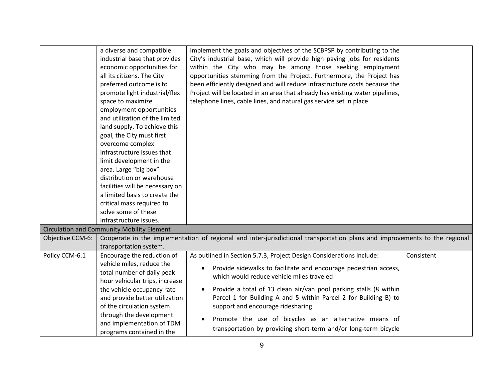|                  | a diverse and compatible<br>industrial base that provides<br>economic opportunities for<br>all its citizens. The City<br>preferred outcome is to<br>promote light industrial/flex<br>space to maximize<br>employment opportunities<br>and utilization of the limited<br>land supply. To achieve this<br>goal, the City must first<br>overcome complex<br>infrastructure issues that<br>limit development in the<br>area. Large "big box"<br>distribution or warehouse<br>facilities will be necessary on<br>a limited basis to create the<br>critical mass required to<br>solve some of these<br>infrastructure issues. | implement the goals and objectives of the SCBPSP by contributing to the<br>City's industrial base, which will provide high paying jobs for residents<br>within the City who may be among those seeking employment<br>opportunities stemming from the Project. Furthermore, the Project has<br>been efficiently designed and will reduce infrastructure costs because the<br>Project will be located in an area that already has existing water pipelines,<br>telephone lines, cable lines, and natural gas service set in place. |            |
|------------------|-------------------------------------------------------------------------------------------------------------------------------------------------------------------------------------------------------------------------------------------------------------------------------------------------------------------------------------------------------------------------------------------------------------------------------------------------------------------------------------------------------------------------------------------------------------------------------------------------------------------------|----------------------------------------------------------------------------------------------------------------------------------------------------------------------------------------------------------------------------------------------------------------------------------------------------------------------------------------------------------------------------------------------------------------------------------------------------------------------------------------------------------------------------------|------------|
|                  | <b>Circulation and Community Mobility Element</b>                                                                                                                                                                                                                                                                                                                                                                                                                                                                                                                                                                       |                                                                                                                                                                                                                                                                                                                                                                                                                                                                                                                                  |            |
| Objective CCM-6: |                                                                                                                                                                                                                                                                                                                                                                                                                                                                                                                                                                                                                         | Cooperate in the implementation of regional and inter-jurisdictional transportation plans and improvements to the regional                                                                                                                                                                                                                                                                                                                                                                                                       |            |
|                  | transportation system.                                                                                                                                                                                                                                                                                                                                                                                                                                                                                                                                                                                                  |                                                                                                                                                                                                                                                                                                                                                                                                                                                                                                                                  |            |
| Policy CCM-6.1   | Encourage the reduction of                                                                                                                                                                                                                                                                                                                                                                                                                                                                                                                                                                                              | As outlined in Section 5.7.3, Project Design Considerations include:                                                                                                                                                                                                                                                                                                                                                                                                                                                             | Consistent |
|                  | vehicle miles, reduce the<br>total number of daily peak<br>hour vehicular trips, increase                                                                                                                                                                                                                                                                                                                                                                                                                                                                                                                               | Provide sidewalks to facilitate and encourage pedestrian access,<br>which would reduce vehicle miles traveled                                                                                                                                                                                                                                                                                                                                                                                                                    |            |
|                  | the vehicle occupancy rate<br>and provide better utilization<br>of the circulation system                                                                                                                                                                                                                                                                                                                                                                                                                                                                                                                               | Provide a total of 13 clean air/van pool parking stalls (8 within<br>$\bullet$<br>Parcel 1 for Building A and 5 within Parcel 2 for Building B) to<br>support and encourage ridesharing                                                                                                                                                                                                                                                                                                                                          |            |
|                  | through the development<br>and implementation of TDM<br>programs contained in the                                                                                                                                                                                                                                                                                                                                                                                                                                                                                                                                       | Promote the use of bicycles as an alternative means of<br>transportation by providing short-term and/or long-term bicycle                                                                                                                                                                                                                                                                                                                                                                                                        |            |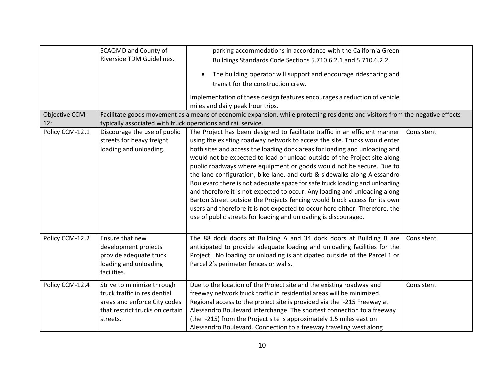|                 | <b>SCAQMD and County of</b>                                  | parking accommodations in accordance with the California Green                                                                |            |
|-----------------|--------------------------------------------------------------|-------------------------------------------------------------------------------------------------------------------------------|------------|
|                 | Riverside TDM Guidelines.                                    | Buildings Standards Code Sections 5.710.6.2.1 and 5.710.6.2.2.                                                                |            |
|                 |                                                              | The building operator will support and encourage ridesharing and<br>$\bullet$                                                 |            |
|                 |                                                              | transit for the construction crew.                                                                                            |            |
|                 |                                                              | Implementation of these design features encourages a reduction of vehicle<br>miles and daily peak hour trips.                 |            |
| Objective CCM-  |                                                              | Facilitate goods movement as a means of economic expansion, while protecting residents and visitors from the negative effects |            |
| 12:             | typically associated with truck operations and rail service. |                                                                                                                               |            |
| Policy CCM-12.1 | Discourage the use of public                                 | The Project has been designed to facilitate traffic in an efficient manner                                                    | Consistent |
|                 | streets for heavy freight                                    | using the existing roadway network to access the site. Trucks would enter                                                     |            |
|                 | loading and unloading.                                       | both sites and access the loading dock areas for loading and unloading and                                                    |            |
|                 |                                                              | would not be expected to load or unload outside of the Project site along                                                     |            |
|                 |                                                              | public roadways where equipment or goods would not be secure. Due to                                                          |            |
|                 |                                                              | the lane configuration, bike lane, and curb & sidewalks along Alessandro                                                      |            |
|                 |                                                              | Boulevard there is not adequate space for safe truck loading and unloading                                                    |            |
|                 |                                                              | and therefore it is not expected to occur. Any loading and unloading along                                                    |            |
|                 |                                                              | Barton Street outside the Projects fencing would block access for its own                                                     |            |
|                 |                                                              | users and therefore it is not expected to occur here either. Therefore, the                                                   |            |
|                 |                                                              | use of public streets for loading and unloading is discouraged.                                                               |            |
|                 |                                                              |                                                                                                                               |            |
| Policy CCM-12.2 | Ensure that new                                              | The 88 dock doors at Building A and 34 dock doors at Building B are                                                           | Consistent |
|                 | development projects                                         | anticipated to provide adequate loading and unloading facilities for the                                                      |            |
|                 | provide adequate truck                                       | Project. No loading or unloading is anticipated outside of the Parcel 1 or                                                    |            |
|                 | loading and unloading                                        | Parcel 2's perimeter fences or walls.                                                                                         |            |
|                 | facilities.                                                  |                                                                                                                               |            |
| Policy CCM-12.4 | Strive to minimize through                                   | Due to the location of the Project site and the existing roadway and                                                          | Consistent |
|                 | truck traffic in residential                                 | freeway network truck traffic in residential areas will be minimized.                                                         |            |
|                 | areas and enforce City codes                                 | Regional access to the project site is provided via the I-215 Freeway at                                                      |            |
|                 | that restrict trucks on certain                              | Alessandro Boulevard interchange. The shortest connection to a freeway                                                        |            |
|                 | streets.                                                     | (the I-215) from the Project site is approximately 1.5 miles east on                                                          |            |
|                 |                                                              | Alessandro Boulevard. Connection to a freeway traveling west along                                                            |            |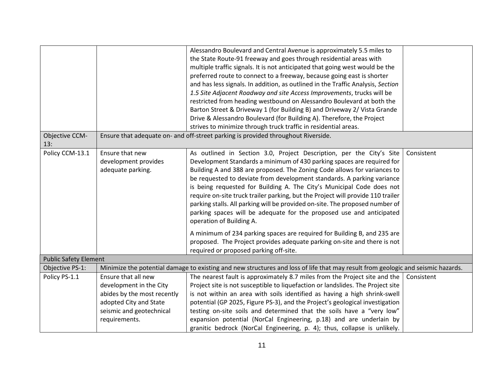|                              |                             | Alessandro Boulevard and Central Avenue is approximately 5.5 miles to                                                            |            |
|------------------------------|-----------------------------|----------------------------------------------------------------------------------------------------------------------------------|------------|
|                              |                             | the State Route-91 freeway and goes through residential areas with                                                               |            |
|                              |                             | multiple traffic signals. It is not anticipated that going west would be the                                                     |            |
|                              |                             | preferred route to connect to a freeway, because going east is shorter                                                           |            |
|                              |                             | and has less signals. In addition, as outlined in the Traffic Analysis, Section                                                  |            |
|                              |                             | 1.5 Site Adjacent Roadway and site Access Improvements, trucks will be                                                           |            |
|                              |                             | restricted from heading westbound on Alessandro Boulevard at both the                                                            |            |
|                              |                             | Barton Street & Driveway 1 (for Building B) and Driveway 2/ Vista Grande                                                         |            |
|                              |                             | Drive & Alessandro Boulevard (for Building A). Therefore, the Project                                                            |            |
|                              |                             | strives to minimize through truck traffic in residential areas.                                                                  |            |
| Objective CCM-               |                             | Ensure that adequate on- and off-street parking is provided throughout Riverside.                                                |            |
| 13:                          |                             |                                                                                                                                  |            |
| Policy CCM-13.1              | Ensure that new             | As outlined in Section 3.0, Project Description, per the City's Site                                                             | Consistent |
|                              | development provides        | Development Standards a minimum of 430 parking spaces are required for                                                           |            |
|                              | adequate parking.           | Building A and 388 are proposed. The Zoning Code allows for variances to                                                         |            |
|                              |                             | be requested to deviate from development standards. A parking variance                                                           |            |
|                              |                             | is being requested for Building A. The City's Municipal Code does not                                                            |            |
|                              |                             | require on-site truck trailer parking, but the Project will provide 110 trailer                                                  |            |
|                              |                             | parking stalls. All parking will be provided on-site. The proposed number of                                                     |            |
|                              |                             | parking spaces will be adequate for the proposed use and anticipated                                                             |            |
|                              |                             | operation of Building A.                                                                                                         |            |
|                              |                             | A minimum of 234 parking spaces are required for Building B, and 235 are                                                         |            |
|                              |                             | proposed. The Project provides adequate parking on-site and there is not                                                         |            |
|                              |                             | required or proposed parking off-site.                                                                                           |            |
| <b>Public Safety Element</b> |                             |                                                                                                                                  |            |
| Objective PS-1:              |                             | Minimize the potential damage to existing and new structures and loss of life that may result from geologic and seismic hazards. |            |
| Policy PS-1.1                | Ensure that all new         | The nearest fault is approximately 8.7 miles from the Project site and the                                                       | Consistent |
|                              | development in the City     | Project site is not susceptible to liquefaction or landslides. The Project site                                                  |            |
|                              | abides by the most recently | is not within an area with soils identified as having a high shrink-swell                                                        |            |
|                              | adopted City and State      | potential (GP 2025, Figure PS-3), and the Project's geological investigation                                                     |            |
|                              | seismic and geotechnical    | testing on-site soils and determined that the soils have a "very low"                                                            |            |
|                              | requirements.               | expansion potential (NorCal Engineering, p.18) and are underlain by                                                              |            |
|                              |                             | granitic bedrock (NorCal Engineering, p. 4); thus, collapse is unlikely.                                                         |            |
|                              |                             |                                                                                                                                  |            |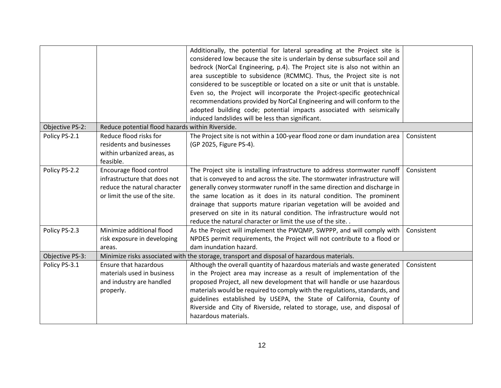|                 |                                                                                                                          | Additionally, the potential for lateral spreading at the Project site is<br>considered low because the site is underlain by dense subsurface soil and<br>bedrock (NorCal Engineering, p.4). The Project site is also not within an<br>area susceptible to subsidence (RCMMC). Thus, the Project site is not<br>considered to be susceptible or located on a site or unit that is unstable.<br>Even so, the Project will incorporate the Project-specific geotechnical<br>recommendations provided by NorCal Engineering and will conform to the<br>adopted building code; potential impacts associated with seismically<br>induced landslides will be less than significant. |            |
|-----------------|--------------------------------------------------------------------------------------------------------------------------|------------------------------------------------------------------------------------------------------------------------------------------------------------------------------------------------------------------------------------------------------------------------------------------------------------------------------------------------------------------------------------------------------------------------------------------------------------------------------------------------------------------------------------------------------------------------------------------------------------------------------------------------------------------------------|------------|
| Objective PS-2: | Reduce potential flood hazards within Riverside.                                                                         |                                                                                                                                                                                                                                                                                                                                                                                                                                                                                                                                                                                                                                                                              |            |
| Policy PS-2.1   | Reduce flood risks for<br>residents and businesses<br>within urbanized areas, as<br>feasible.                            | The Project site is not within a 100-year flood zone or dam inundation area<br>(GP 2025, Figure PS-4).                                                                                                                                                                                                                                                                                                                                                                                                                                                                                                                                                                       | Consistent |
| Policy PS-2.2   | Encourage flood control<br>infrastructure that does not<br>reduce the natural character<br>or limit the use of the site. | The Project site is installing infrastructure to address stormwater runoff   Consistent<br>that is conveyed to and across the site. The stormwater infrastructure will<br>generally convey stormwater runoff in the same direction and discharge in<br>the same location as it does in its natural condition. The prominent<br>drainage that supports mature riparian vegetation will be avoided and<br>preserved on site in its natural condition. The infrastructure would not<br>reduce the natural character or limit the use of the site                                                                                                                                |            |
| Policy PS-2.3   | Minimize additional flood                                                                                                | As the Project will implement the PWQMP, SWPPP, and will comply with                                                                                                                                                                                                                                                                                                                                                                                                                                                                                                                                                                                                         | Consistent |
|                 | risk exposure in developing                                                                                              | NPDES permit requirements, the Project will not contribute to a flood or                                                                                                                                                                                                                                                                                                                                                                                                                                                                                                                                                                                                     |            |
|                 | areas.                                                                                                                   | dam inundation hazard.                                                                                                                                                                                                                                                                                                                                                                                                                                                                                                                                                                                                                                                       |            |
| Objective PS-3: |                                                                                                                          | Minimize risks associated with the storage, transport and disposal of hazardous materials.                                                                                                                                                                                                                                                                                                                                                                                                                                                                                                                                                                                   |            |
| Policy PS-3.1   | Ensure that hazardous<br>materials used in business<br>and industry are handled<br>properly.                             | Although the overall quantity of hazardous materials and waste generated<br>in the Project area may increase as a result of implementation of the<br>proposed Project, all new development that will handle or use hazardous<br>materials would be required to comply with the regulations, standards, and<br>guidelines established by USEPA, the State of California, County of<br>Riverside and City of Riverside, related to storage, use, and disposal of<br>hazardous materials.                                                                                                                                                                                       | Consistent |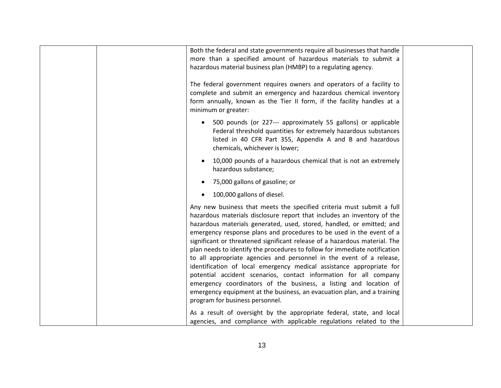| Both the federal and state governments require all businesses that handle<br>more than a specified amount of hazardous materials to submit a<br>hazardous material business plan (HMBP) to a regulating agency.<br>The federal government requires owners and operators of a facility to<br>complete and submit an emergency and hazardous chemical inventory<br>form annually, known as the Tier II form, if the facility handles at a<br>minimum or greater:                                                                                                                                                                                                                                                                                                                                                                                                        |  |
|-----------------------------------------------------------------------------------------------------------------------------------------------------------------------------------------------------------------------------------------------------------------------------------------------------------------------------------------------------------------------------------------------------------------------------------------------------------------------------------------------------------------------------------------------------------------------------------------------------------------------------------------------------------------------------------------------------------------------------------------------------------------------------------------------------------------------------------------------------------------------|--|
| 500 pounds (or 227--- approximately 55 gallons) or applicable<br>$\bullet$<br>Federal threshold quantities for extremely hazardous substances<br>listed in 40 CFR Part 355, Appendix A and B and hazardous<br>chemicals, whichever is lower;                                                                                                                                                                                                                                                                                                                                                                                                                                                                                                                                                                                                                          |  |
| 10,000 pounds of a hazardous chemical that is not an extremely<br>$\bullet$<br>hazardous substance;                                                                                                                                                                                                                                                                                                                                                                                                                                                                                                                                                                                                                                                                                                                                                                   |  |
| 75,000 gallons of gasoline; or                                                                                                                                                                                                                                                                                                                                                                                                                                                                                                                                                                                                                                                                                                                                                                                                                                        |  |
| 100,000 gallons of diesel.<br>$\bullet$                                                                                                                                                                                                                                                                                                                                                                                                                                                                                                                                                                                                                                                                                                                                                                                                                               |  |
| Any new business that meets the specified criteria must submit a full<br>hazardous materials disclosure report that includes an inventory of the<br>hazardous materials generated, used, stored, handled, or emitted; and<br>emergency response plans and procedures to be used in the event of a<br>significant or threatened significant release of a hazardous material. The<br>plan needs to identify the procedures to follow for immediate notification<br>to all appropriate agencies and personnel in the event of a release,<br>identification of local emergency medical assistance appropriate for<br>potential accident scenarios, contact information for all company<br>emergency coordinators of the business, a listing and location of<br>emergency equipment at the business, an evacuation plan, and a training<br>program for business personnel. |  |
| As a result of oversight by the appropriate federal, state, and local<br>agencies, and compliance with applicable regulations related to the                                                                                                                                                                                                                                                                                                                                                                                                                                                                                                                                                                                                                                                                                                                          |  |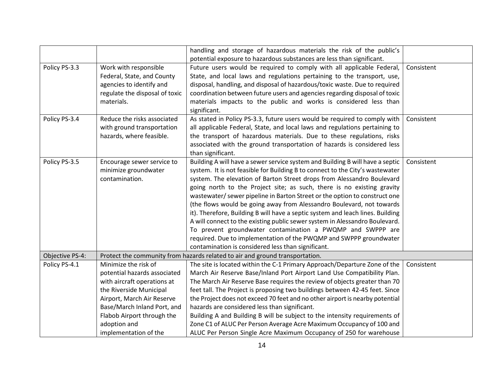|                 |                                | handling and storage of hazardous materials the risk of the public's           |            |
|-----------------|--------------------------------|--------------------------------------------------------------------------------|------------|
|                 |                                | potential exposure to hazardous substances are less than significant.          |            |
| Policy PS-3.3   | Work with responsible          | Future users would be required to comply with all applicable Federal,          | Consistent |
|                 | Federal, State, and County     | State, and local laws and regulations pertaining to the transport, use,        |            |
|                 | agencies to identify and       | disposal, handling, and disposal of hazardous/toxic waste. Due to required     |            |
|                 | regulate the disposal of toxic | coordination between future users and agencies regarding disposal of toxic     |            |
|                 | materials.                     | materials impacts to the public and works is considered less than              |            |
|                 |                                | significant.                                                                   |            |
| Policy PS-3.4   | Reduce the risks associated    | As stated in Policy PS-3.3, future users would be required to comply with      | Consistent |
|                 | with ground transportation     | all applicable Federal, State, and local laws and regulations pertaining to    |            |
|                 | hazards, where feasible.       | the transport of hazardous materials. Due to these regulations, risks          |            |
|                 |                                | associated with the ground transportation of hazards is considered less        |            |
|                 |                                | than significant.                                                              |            |
| Policy PS-3.5   | Encourage sewer service to     | Building A will have a sewer service system and Building B will have a septic  | Consistent |
|                 | minimize groundwater           | system. It is not feasible for Building B to connect to the City's wastewater  |            |
|                 | contamination.                 | system. The elevation of Barton Street drops from Alessandro Boulevard         |            |
|                 |                                | going north to the Project site; as such, there is no existing gravity         |            |
|                 |                                | wastewater/sewer pipeline in Barton Street or the option to construct one      |            |
|                 |                                | (the flows would be going away from Alessandro Boulevard, not towards          |            |
|                 |                                | it). Therefore, Building B will have a septic system and leach lines. Building |            |
|                 |                                | A will connect to the existing public sewer system in Alessandro Boulevard.    |            |
|                 |                                | To prevent groundwater contamination a PWQMP and SWPPP are                     |            |
|                 |                                | required. Due to implementation of the PWQMP and SWPPP groundwater             |            |
|                 |                                | contamination is considered less than significant.                             |            |
| Objective PS-4: |                                | Protect the community from hazards related to air and ground transportation.   |            |
| Policy PS-4.1   | Minimize the risk of           | The site is located within the C-1 Primary Approach/Departure Zone of the      | Consistent |
|                 | potential hazards associated   | March Air Reserve Base/Inland Port Airport Land Use Compatibility Plan.        |            |
|                 | with aircraft operations at    | The March Air Reserve Base requires the review of objects greater than 70      |            |
|                 | the Riverside Municipal        | feet tall. The Project is proposing two buildings between 42-45 feet. Since    |            |
|                 | Airport, March Air Reserve     | the Project does not exceed 70 feet and no other airport is nearby potential   |            |
|                 | Base/March Inland Port, and    | hazards are considered less than significant.                                  |            |
|                 | Flabob Airport through the     | Building A and Building B will be subject to the intensity requirements of     |            |
|                 | adoption and                   | Zone C1 of ALUC Per Person Average Acre Maximum Occupancy of 100 and           |            |
|                 | implementation of the          | ALUC Per Person Single Acre Maximum Occupancy of 250 for warehouse             |            |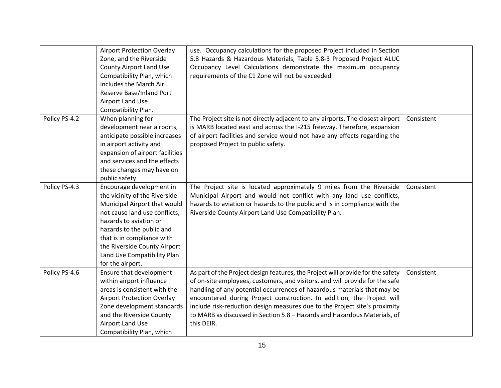|               | <b>Airport Protection Overlay</b><br>Zone, and the Riverside<br><b>County Airport Land Use</b><br>Compatibility Plan, which<br>includes the March Air<br>Reserve Base/Inland Port<br><b>Airport Land Use</b><br>Compatibility Plan.                                                                | use. Occupancy calculations for the proposed Project included in Section<br>5.8 Hazards & Hazardous Materials, Table 5.8-3 Proposed Project ALUC<br>Occupancy Level Calculations demonstrate the maximum occupancy<br>requirements of the C1 Zone will not be exceeded                                                                                                                                                                                                                         |            |
|---------------|----------------------------------------------------------------------------------------------------------------------------------------------------------------------------------------------------------------------------------------------------------------------------------------------------|------------------------------------------------------------------------------------------------------------------------------------------------------------------------------------------------------------------------------------------------------------------------------------------------------------------------------------------------------------------------------------------------------------------------------------------------------------------------------------------------|------------|
| Policy PS-4.2 | When planning for<br>development near airports,<br>anticipate possible increases<br>in airport activity and<br>expansion of airport facilities<br>and services and the effects<br>these changes may have on<br>public safety.                                                                      | The Project site is not directly adjacent to any airports. The closest airport<br>is MARB located east and across the I-215 freeway. Therefore, expansion<br>of airport facilities and service would not have any effects regarding the<br>proposed Project to public safety.                                                                                                                                                                                                                  | Consistent |
| Policy PS-4.3 | Encourage development in<br>the vicinity of the Riverside<br>Municipal Airport that would<br>not cause land use conflicts,<br>hazards to aviation or<br>hazards to the public and<br>that is in compliance with<br>the Riverside County Airport<br>Land Use Compatibility Plan<br>for the airport. | The Project site is located approximately 9 miles from the Riverside<br>Municipal Airport and would not conflict with any land use conflicts,<br>hazards to aviation or hazards to the public and is in compliance with the<br>Riverside County Airport Land Use Compatibility Plan.                                                                                                                                                                                                           | Consistent |
| Policy PS-4.6 | Ensure that development<br>within airport influence<br>areas is consistent with the<br><b>Airport Protection Overlay</b><br>Zone development standards<br>and the Riverside County<br>Airport Land Use<br>Compatibility Plan, which                                                                | As part of the Project design features, the Project will provide for the safety<br>of on-site employees, customers, and visitors, and will provide for the safe<br>handling of any potential occurrences of hazardous materials that may be<br>encountered during Project construction. In addition, the Project will<br>include risk-reduction design measures due to the Project site's proximity<br>to MARB as discussed in Section 5.8 - Hazards and Hazardous Materials, of<br>this DEIR. | Consistent |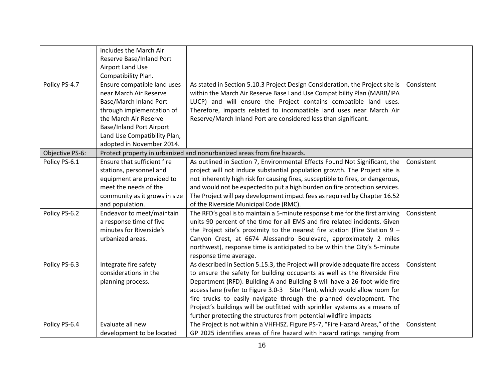|                 | includes the March Air          |                                                                                 |            |
|-----------------|---------------------------------|---------------------------------------------------------------------------------|------------|
|                 | Reserve Base/Inland Port        |                                                                                 |            |
|                 | Airport Land Use                |                                                                                 |            |
|                 | Compatibility Plan.             |                                                                                 |            |
| Policy PS-4.7   | Ensure compatible land uses     | As stated in Section 5.10.3 Project Design Consideration, the Project site is   | Consistent |
|                 | near March Air Reserve          | within the March Air Reserve Base Land Use Compatibility Plan (MARB/IPA         |            |
|                 | Base/March Inland Port          | LUCP) and will ensure the Project contains compatible land uses.                |            |
|                 | through implementation of       | Therefore, impacts related to incompatible land uses near March Air             |            |
|                 | the March Air Reserve           | Reserve/March Inland Port are considered less than significant.                 |            |
|                 | <b>Base/Inland Port Airport</b> |                                                                                 |            |
|                 | Land Use Compatibility Plan,    |                                                                                 |            |
|                 | adopted in November 2014.       |                                                                                 |            |
| Objective PS-6: |                                 | Protect property in urbanized and nonurbanized areas from fire hazards.         |            |
| Policy PS-6.1   | Ensure that sufficient fire     | As outlined in Section 7, Environmental Effects Found Not Significant, the      | Consistent |
|                 | stations, personnel and         | project will not induce substantial population growth. The Project site is      |            |
|                 | equipment are provided to       | not inherently high risk for causing fires, susceptible to fires, or dangerous, |            |
|                 | meet the needs of the           | and would not be expected to put a high burden on fire protection services.     |            |
|                 | community as it grows in size   | The Project will pay development impact fees as required by Chapter 16.52       |            |
|                 | and population.                 | of the Riverside Municipal Code (RMC).                                          |            |
| Policy PS-6.2   | Endeavor to meet/maintain       | The RFD's goal is to maintain a 5-minute response time for the first arriving   | Consistent |
|                 | a response time of five         | units 90 percent of the time for all EMS and fire related incidents. Given      |            |
|                 | minutes for Riverside's         | the Project site's proximity to the nearest fire station (Fire Station $9 -$    |            |
|                 | urbanized areas.                | Canyon Crest, at 6674 Alessandro Boulevard, approximately 2 miles               |            |
|                 |                                 | northwest), response time is anticipated to be within the City's 5-minute       |            |
|                 |                                 | response time average.                                                          |            |
| Policy PS-6.3   | Integrate fire safety           | As described in Section 5.15.3, the Project will provide adequate fire access   | Consistent |
|                 | considerations in the           | to ensure the safety for building occupants as well as the Riverside Fire       |            |
|                 | planning process.               | Department (RFD). Building A and Building B will have a 26-foot-wide fire       |            |
|                 |                                 | access lane (refer to Figure 3.0-3 - Site Plan), which would allow room for     |            |
|                 |                                 | fire trucks to easily navigate through the planned development. The             |            |
|                 |                                 | Project's buildings will be outfitted with sprinkler systems as a means of      |            |
|                 |                                 | further protecting the structures from potential wildfire impacts               |            |
| Policy PS-6.4   | Evaluate all new                | The Project is not within a VHFHSZ. Figure PS-7, "Fire Hazard Areas," of the    | Consistent |
|                 | development to be located       | GP 2025 identifies areas of fire hazard with hazard ratings ranging from        |            |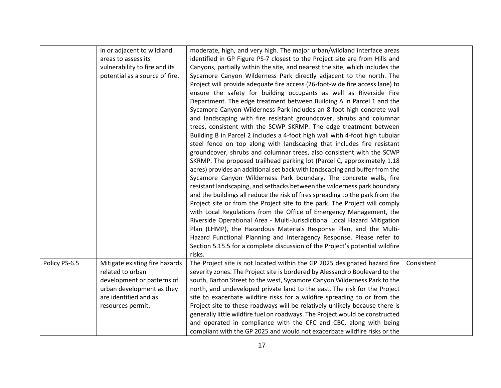|               | in or adjacent to wildland<br>areas to assess its<br>vulnerability to fire and its<br>potential as a source of fire.                                        | moderate, high, and very high. The major urban/wildland interface areas<br>identified in GP Figure PS-7 closest to the Project site are from Hills and<br>Canyons, partially within the site, and nearest the site, which includes the<br>Sycamore Canyon Wilderness Park directly adjacent to the north. The<br>Project will provide adequate fire access (26-foot-wide fire access lane) to<br>ensure the safety for building occupants as well as Riverside Fire<br>Department. The edge treatment between Building A in Parcel 1 and the<br>Sycamore Canyon Wilderness Park includes an 8-foot high concrete wall<br>and landscaping with fire resistant groundcover, shrubs and columnar<br>trees, consistent with the SCWP SKRMP. The edge treatment between<br>Building B in Parcel 2 includes a 4-foot high wall with 4-foot high tubular                                                                                                                                                                      |            |
|---------------|-------------------------------------------------------------------------------------------------------------------------------------------------------------|------------------------------------------------------------------------------------------------------------------------------------------------------------------------------------------------------------------------------------------------------------------------------------------------------------------------------------------------------------------------------------------------------------------------------------------------------------------------------------------------------------------------------------------------------------------------------------------------------------------------------------------------------------------------------------------------------------------------------------------------------------------------------------------------------------------------------------------------------------------------------------------------------------------------------------------------------------------------------------------------------------------------|------------|
|               |                                                                                                                                                             | steel fence on top along with landscaping that includes fire resistant<br>groundcover, shrubs and columnar trees, also consistent with the SCWP<br>SKRMP. The proposed trailhead parking lot (Parcel C, approximately 1.18<br>acres) provides an additional set back with landscaping and buffer from the<br>Sycamore Canyon Wilderness Park boundary. The concrete walls, fire<br>resistant landscaping, and setbacks between the wilderness park boundary<br>and the buildings all reduce the risk of fires spreading to the park from the<br>Project site or from the Project site to the park. The Project will comply<br>with Local Regulations from the Office of Emergency Management, the<br>Riverside Operational Area - Multi-Jurisdictional Local Hazard Mitigation<br>Plan (LHMP), the Hazardous Materials Response Plan, and the Multi-<br>Hazard Functional Planning and Interagency Response. Please refer to<br>Section 5.15.5 for a complete discussion of the Project's potential wildfire<br>risks. |            |
| Policy PS-6.5 | Mitigate existing fire hazards<br>related to urban<br>development or patterns of<br>urban development as they<br>are identified and as<br>resources permit. | The Project site is not located within the GP 2025 designated hazard fire<br>severity zones. The Project site is bordered by Alessandro Boulevard to the<br>south, Barton Street to the west, Sycamore Canyon Wilderness Park to the<br>north, and undeveloped private land to the east. The risk for the Project<br>site to exacerbate wildfire risks for a wildfire spreading to or from the<br>Project site to these roadways will be relatively unlikely because there is<br>generally little wildfire fuel on roadways. The Project would be constructed<br>and operated in compliance with the CFC and CBC, along with being<br>compliant with the GP 2025 and would not exacerbate wildfire risks or the                                                                                                                                                                                                                                                                                                        | Consistent |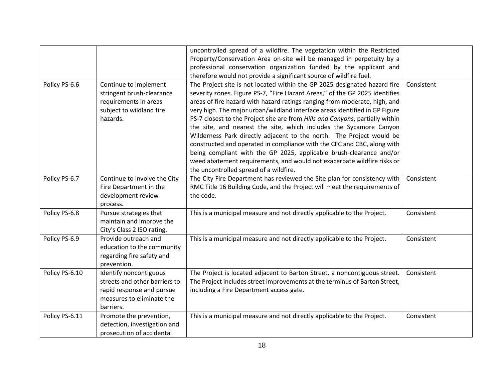|                |                               | uncontrolled spread of a wildfire. The vegetation within the Restricted       |            |
|----------------|-------------------------------|-------------------------------------------------------------------------------|------------|
|                |                               | Property/Conservation Area on-site will be managed in perpetuity by a         |            |
|                |                               | professional conservation organization funded by the applicant and            |            |
|                |                               | therefore would not provide a significant source of wildfire fuel.            |            |
| Policy PS-6.6  | Continue to implement         | The Project site is not located within the GP 2025 designated hazard fire     | Consistent |
|                | stringent brush-clearance     | severity zones. Figure PS-7, "Fire Hazard Areas," of the GP 2025 identifies   |            |
|                | requirements in areas         | areas of fire hazard with hazard ratings ranging from moderate, high, and     |            |
|                | subject to wildland fire      | very high. The major urban/wildland interface areas identified in GP Figure   |            |
|                | hazards.                      | PS-7 closest to the Project site are from Hills and Canyons, partially within |            |
|                |                               | the site, and nearest the site, which includes the Sycamore Canyon            |            |
|                |                               | Wilderness Park directly adjacent to the north. The Project would be          |            |
|                |                               | constructed and operated in compliance with the CFC and CBC, along with       |            |
|                |                               | being compliant with the GP 2025, applicable brush-clearance and/or           |            |
|                |                               | weed abatement requirements, and would not exacerbate wildfire risks or       |            |
|                |                               | the uncontrolled spread of a wildfire.                                        |            |
| Policy PS-6.7  | Continue to involve the City  | The City Fire Department has reviewed the Site plan for consistency with      | Consistent |
|                | Fire Department in the        | RMC Title 16 Building Code, and the Project will meet the requirements of     |            |
|                | development review            | the code.                                                                     |            |
|                | process.                      |                                                                               |            |
| Policy PS-6.8  | Pursue strategies that        | This is a municipal measure and not directly applicable to the Project.       | Consistent |
|                | maintain and improve the      |                                                                               |            |
|                | City's Class 2 ISO rating.    |                                                                               |            |
| Policy PS-6.9  | Provide outreach and          | This is a municipal measure and not directly applicable to the Project.       | Consistent |
|                | education to the community    |                                                                               |            |
|                | regarding fire safety and     |                                                                               |            |
|                | prevention.                   |                                                                               |            |
| Policy PS-6.10 | Identify noncontiguous        | The Project is located adjacent to Barton Street, a noncontiguous street.     | Consistent |
|                | streets and other barriers to | The Project includes street improvements at the terminus of Barton Street,    |            |
|                | rapid response and pursue     | including a Fire Department access gate.                                      |            |
|                | measures to eliminate the     |                                                                               |            |
|                | barriers.                     |                                                                               |            |
| Policy PS-6.11 | Promote the prevention,       | This is a municipal measure and not directly applicable to the Project.       | Consistent |
|                | detection, investigation and  |                                                                               |            |
|                | prosecution of accidental     |                                                                               |            |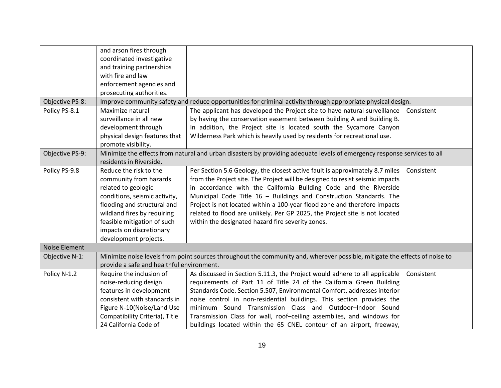|                      | and arson fires through<br>coordinated investigative<br>and training partnerships<br>with fire and law<br>enforcement agencies and<br>prosecuting authorities.                                                                                             |                                                                                                                                                                                                                                                                                                                                                                                                                                                                                                                            |            |
|----------------------|------------------------------------------------------------------------------------------------------------------------------------------------------------------------------------------------------------------------------------------------------------|----------------------------------------------------------------------------------------------------------------------------------------------------------------------------------------------------------------------------------------------------------------------------------------------------------------------------------------------------------------------------------------------------------------------------------------------------------------------------------------------------------------------------|------------|
| Objective PS-8:      |                                                                                                                                                                                                                                                            | Improve community safety and reduce opportunities for criminal activity through appropriate physical design.                                                                                                                                                                                                                                                                                                                                                                                                               |            |
| Policy PS-8.1        | Maximize natural<br>surveillance in all new<br>development through<br>physical design features that<br>promote visibility.                                                                                                                                 | The applicant has developed the Project site to have natural surveillance<br>by having the conservation easement between Building A and Building B.<br>In addition, the Project site is located south the Sycamore Canyon<br>Wilderness Park which is heavily used by residents for recreational use.                                                                                                                                                                                                                      | Consistent |
| Objective PS-9:      | residents in Riverside.                                                                                                                                                                                                                                    | Minimize the effects from natural and urban disasters by providing adequate levels of emergency response services to all                                                                                                                                                                                                                                                                                                                                                                                                   |            |
| Policy PS-9.8        | Reduce the risk to the<br>community from hazards<br>related to geologic<br>conditions, seismic activity,<br>flooding and structural and<br>wildland fires by requiring<br>feasible mitigation of such<br>impacts on discretionary<br>development projects. | Per Section 5.6 Geology, the closest active fault is approximately 8.7 miles<br>from the Project site. The Project will be designed to resist seismic impacts<br>in accordance with the California Building Code and the Riverside<br>Municipal Code Title 16 - Buildings and Construction Standards. The<br>Project is not located within a 100-year flood zone and therefore impacts<br>related to flood are unlikely. Per GP 2025, the Project site is not located<br>within the designated hazard fire severity zones. | Consistent |
| <b>Noise Element</b> |                                                                                                                                                                                                                                                            |                                                                                                                                                                                                                                                                                                                                                                                                                                                                                                                            |            |
| Objective N-1:       | provide a safe and healthful environment.                                                                                                                                                                                                                  | Minimize noise levels from point sources throughout the community and, wherever possible, mitigate the effects of noise to                                                                                                                                                                                                                                                                                                                                                                                                 |            |
| Policy N-1.2         | Require the inclusion of<br>noise-reducing design<br>features in development<br>consistent with standards in<br>Figure N-10(Noise/Land Use<br>Compatibility Criteria), Title<br>24 California Code of                                                      | As discussed in Section 5.11.3, the Project would adhere to all applicable<br>requirements of Part 11 of Title 24 of the California Green Building<br>Standards Code. Section 5.507, Environmental Comfort, addresses interior<br>noise control in non-residential buildings. This section provides the<br>minimum Sound Transmission Class and Outdoor-Indoor Sound<br>Transmission Class for wall, roof-ceiling assemblies, and windows for<br>buildings located within the 65 CNEL contour of an airport, freeway,      | Consistent |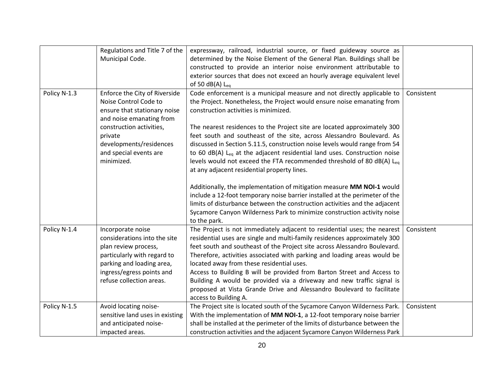|              | Regulations and Title 7 of the  | expressway, railroad, industrial source, or fixed guideway source as                    |            |
|--------------|---------------------------------|-----------------------------------------------------------------------------------------|------------|
|              | Municipal Code.                 | determined by the Noise Element of the General Plan. Buildings shall be                 |            |
|              |                                 | constructed to provide an interior noise environment attributable to                    |            |
|              |                                 | exterior sources that does not exceed an hourly average equivalent level                |            |
|              |                                 | of 50 dB(A) $L_{eq}$                                                                    |            |
| Policy N-1.3 | Enforce the City of Riverside   | Code enforcement is a municipal measure and not directly applicable to                  | Consistent |
|              | Noise Control Code to           | the Project. Nonetheless, the Project would ensure noise emanating from                 |            |
|              | ensure that stationary noise    | construction activities is minimized.                                                   |            |
|              | and noise emanating from        |                                                                                         |            |
|              | construction activities,        | The nearest residences to the Project site are located approximately 300                |            |
|              | private                         | feet south and southeast of the site, across Alessandro Boulevard. As                   |            |
|              | developments/residences         | discussed in Section 5.11.5, construction noise levels would range from 54              |            |
|              | and special events are          | to 60 $dB(A)$ L <sub>eq</sub> at the adjacent residential land uses. Construction noise |            |
|              | minimized.                      | levels would not exceed the FTA recommended threshold of 80 dB(A) Leq                   |            |
|              |                                 | at any adjacent residential property lines.                                             |            |
|              |                                 |                                                                                         |            |
|              |                                 | Additionally, the implementation of mitigation measure MM NOI-1 would                   |            |
|              |                                 | include a 12-foot temporary noise barrier installed at the perimeter of the             |            |
|              |                                 | limits of disturbance between the construction activities and the adjacent              |            |
|              |                                 | Sycamore Canyon Wilderness Park to minimize construction activity noise                 |            |
|              |                                 | to the park.                                                                            |            |
| Policy N-1.4 | Incorporate noise               | The Project is not immediately adjacent to residential uses; the nearest                | Consistent |
|              | considerations into the site    | residential uses are single and multi-family residences approximately 300               |            |
|              | plan review process,            | feet south and southeast of the Project site across Alessandro Boulevard.               |            |
|              | particularly with regard to     | Therefore, activities associated with parking and loading areas would be                |            |
|              | parking and loading area,       | located away from these residential uses.                                               |            |
|              | ingress/egress points and       | Access to Building B will be provided from Barton Street and Access to                  |            |
|              | refuse collection areas.        | Building A would be provided via a driveway and new traffic signal is                   |            |
|              |                                 | proposed at Vista Grande Drive and Alessandro Boulevard to facilitate                   |            |
|              |                                 | access to Building A.                                                                   |            |
| Policy N-1.5 | Avoid locating noise-           | The Project site is located south of the Sycamore Canyon Wilderness Park.               | Consistent |
|              | sensitive land uses in existing | With the implementation of MM NOI-1, a 12-foot temporary noise barrier                  |            |
|              | and anticipated noise-          | shall be installed at the perimeter of the limits of disturbance between the            |            |
|              | impacted areas.                 | construction activities and the adjacent Sycamore Canyon Wilderness Park                |            |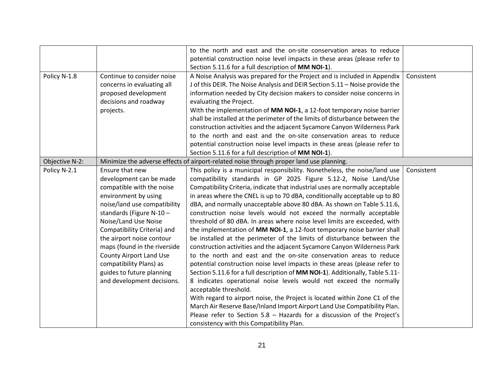|                |                                | to the north and east and the on-site conservation areas to reduce                      |            |
|----------------|--------------------------------|-----------------------------------------------------------------------------------------|------------|
|                |                                | potential construction noise level impacts in these areas (please refer to              |            |
|                |                                | Section 5.11.6 for a full description of MM NOI-1).                                     |            |
| Policy N-1.8   | Continue to consider noise     | A Noise Analysis was prepared for the Project and is included in Appendix               | Consistent |
|                | concerns in evaluating all     | J of this DEIR. The Noise Analysis and DEIR Section 5.11 - Noise provide the            |            |
|                | proposed development           | information needed by City decision makers to consider noise concerns in                |            |
|                | decisions and roadway          | evaluating the Project.                                                                 |            |
|                | projects.                      | With the implementation of MM NOI-1, a 12-foot temporary noise barrier                  |            |
|                |                                | shall be installed at the perimeter of the limits of disturbance between the            |            |
|                |                                | construction activities and the adjacent Sycamore Canyon Wilderness Park                |            |
|                |                                | to the north and east and the on-site conservation areas to reduce                      |            |
|                |                                | potential construction noise level impacts in these areas (please refer to              |            |
|                |                                | Section 5.11.6 for a full description of MM NOI-1).                                     |            |
| Objective N-2: |                                | Minimize the adverse effects of airport-related noise through proper land use planning. |            |
| Policy N-2.1   | Ensure that new                | This policy is a municipal responsibility. Nonetheless, the noise/land use              | Consistent |
|                | development can be made        | compatibility standards in GP 2025 Figure 5.12-2, Noise Land/Use                        |            |
|                | compatible with the noise      | Compatibility Criteria, indicate that industrial uses are normally acceptable           |            |
|                | environment by using           | in areas where the CNEL is up to 70 dBA, conditionally acceptable up to 80              |            |
|                | noise/land use compatibility   | dBA, and normally unacceptable above 80 dBA. As shown on Table 5.11.6,                  |            |
|                | standards (Figure $N-10$ -     | construction noise levels would not exceed the normally acceptable                      |            |
|                | Noise/Land Use Noise           | threshold of 80 dBA. In areas where noise level limits are exceeded, with               |            |
|                | Compatibility Criteria) and    | the implementation of MM NOI-1, a 12-foot temporary noise barrier shall                 |            |
|                | the airport noise contour      | be installed at the perimeter of the limits of disturbance between the                  |            |
|                | maps (found in the riverside   | construction activities and the adjacent Sycamore Canyon Wilderness Park                |            |
|                | <b>County Airport Land Use</b> | to the north and east and the on-site conservation areas to reduce                      |            |
|                | compatibility Plans) as        | potential construction noise level impacts in these areas (please refer to              |            |
|                | guides to future planning      | Section 5.11.6 for a full description of MM NOI-1). Additionally, Table 5.11-           |            |
|                | and development decisions.     | 8 indicates operational noise levels would not exceed the normally                      |            |
|                |                                | acceptable threshold.                                                                   |            |
|                |                                | With regard to airport noise, the Project is located within Zone C1 of the              |            |
|                |                                | March Air Reserve Base/Inland Import Airport Land Use Compatibility Plan.               |            |
|                |                                | Please refer to Section 5.8 - Hazards for a discussion of the Project's                 |            |
|                |                                | consistency with this Compatibility Plan.                                               |            |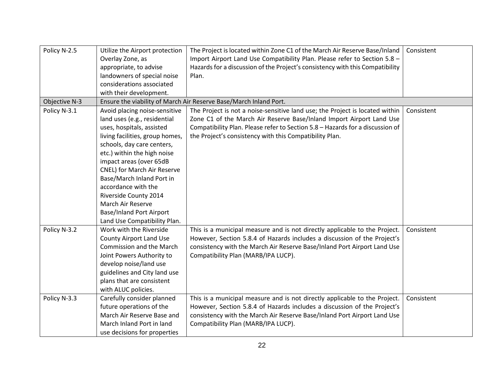| Policy N-2.5  | Utilize the Airport protection  | The Project is located within Zone C1 of the March Air Reserve Base/Inland    | Consistent |
|---------------|---------------------------------|-------------------------------------------------------------------------------|------------|
|               | Overlay Zone, as                | Import Airport Land Use Compatibility Plan. Please refer to Section 5.8 -     |            |
|               | appropriate, to advise          | Hazards for a discussion of the Project's consistency with this Compatibility |            |
|               | landowners of special noise     | Plan.                                                                         |            |
|               | considerations associated       |                                                                               |            |
|               | with their development.         |                                                                               |            |
| Objective N-3 |                                 | Ensure the viability of March Air Reserve Base/March Inland Port.             |            |
| Policy N-3.1  | Avoid placing noise-sensitive   | The Project is not a noise-sensitive land use; the Project is located within  | Consistent |
|               | land uses (e.g., residential    | Zone C1 of the March Air Reserve Base/Inland Import Airport Land Use          |            |
|               | uses, hospitals, assisted       | Compatibility Plan. Please refer to Section 5.8 - Hazards for a discussion of |            |
|               | living facilities, group homes, | the Project's consistency with this Compatibility Plan.                       |            |
|               | schools, day care centers,      |                                                                               |            |
|               | etc.) within the high noise     |                                                                               |            |
|               | impact areas (over 65dB         |                                                                               |            |
|               | CNEL) for March Air Reserve     |                                                                               |            |
|               | Base/March Inland Port in       |                                                                               |            |
|               | accordance with the             |                                                                               |            |
|               | Riverside County 2014           |                                                                               |            |
|               | March Air Reserve               |                                                                               |            |
|               | <b>Base/Inland Port Airport</b> |                                                                               |            |
|               | Land Use Compatibility Plan.    |                                                                               |            |
| Policy N-3.2  | Work with the Riverside         | This is a municipal measure and is not directly applicable to the Project.    | Consistent |
|               | <b>County Airport Land Use</b>  | However, Section 5.8.4 of Hazards includes a discussion of the Project's      |            |
|               | <b>Commission and the March</b> | consistency with the March Air Reserve Base/Inland Port Airport Land Use      |            |
|               | Joint Powers Authority to       | Compatibility Plan (MARB/IPA LUCP).                                           |            |
|               | develop noise/land use          |                                                                               |            |
|               | guidelines and City land use    |                                                                               |            |
|               | plans that are consistent       |                                                                               |            |
|               | with ALUC policies.             |                                                                               |            |
| Policy N-3.3  | Carefully consider planned      | This is a municipal measure and is not directly applicable to the Project.    | Consistent |
|               | future operations of the        | However, Section 5.8.4 of Hazards includes a discussion of the Project's      |            |
|               | March Air Reserve Base and      | consistency with the March Air Reserve Base/Inland Port Airport Land Use      |            |
|               | March Inland Port in land       | Compatibility Plan (MARB/IPA LUCP).                                           |            |
|               | use decisions for properties    |                                                                               |            |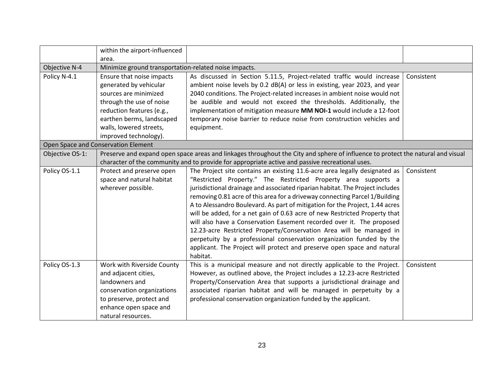|                 | within the airport-influenced                                                                   |                                                                                                                                 |            |
|-----------------|-------------------------------------------------------------------------------------------------|---------------------------------------------------------------------------------------------------------------------------------|------------|
|                 | area.                                                                                           |                                                                                                                                 |            |
| Objective N-4   | Minimize ground transportation-related noise impacts.                                           |                                                                                                                                 |            |
| Policy N-4.1    | Ensure that noise impacts                                                                       | As discussed in Section 5.11.5, Project-related traffic would increase                                                          | Consistent |
|                 | generated by vehicular                                                                          | ambient noise levels by 0.2 dB(A) or less in existing, year 2023, and year                                                      |            |
|                 | sources are minimized                                                                           | 2040 conditions. The Project-related increases in ambient noise would not                                                       |            |
|                 | through the use of noise                                                                        | be audible and would not exceed the thresholds. Additionally, the                                                               |            |
|                 | reduction features (e.g.,                                                                       | implementation of mitigation measure MM NOI-1 would include a 12-foot                                                           |            |
|                 | earthen berms, landscaped                                                                       | temporary noise barrier to reduce noise from construction vehicles and                                                          |            |
|                 | walls, lowered streets,                                                                         | equipment.                                                                                                                      |            |
|                 | improved technology).                                                                           |                                                                                                                                 |            |
|                 | Open Space and Conservation Element                                                             |                                                                                                                                 |            |
| Objective OS-1: |                                                                                                 | Preserve and expand open space areas and linkages throughout the City and sphere of influence to protect the natural and visual |            |
|                 | character of the community and to provide for appropriate active and passive recreational uses. |                                                                                                                                 |            |
| Policy OS-1.1   | Protect and preserve open                                                                       | The Project site contains an existing 11.6-acre area legally designated as                                                      | Consistent |
|                 | space and natural habitat                                                                       | "Restricted Property." The Restricted Property area supports a                                                                  |            |
|                 | wherever possible.                                                                              | jurisdictional drainage and associated riparian habitat. The Project includes                                                   |            |
|                 |                                                                                                 | removing 0.81 acre of this area for a driveway connecting Parcel 1/Building                                                     |            |
|                 |                                                                                                 | A to Alessandro Boulevard. As part of mitigation for the Project, 1.44 acres                                                    |            |
|                 |                                                                                                 | will be added, for a net gain of 0.63 acre of new Restricted Property that                                                      |            |
|                 |                                                                                                 | will also have a Conservation Easement recorded over it. The proposed                                                           |            |
|                 |                                                                                                 | 12.23-acre Restricted Property/Conservation Area will be managed in                                                             |            |
|                 |                                                                                                 | perpetuity by a professional conservation organization funded by the                                                            |            |
|                 |                                                                                                 | applicant. The Project will protect and preserve open space and natural                                                         |            |
|                 |                                                                                                 | habitat.                                                                                                                        |            |
| Policy OS-1.3   | Work with Riverside County                                                                      | This is a municipal measure and not directly applicable to the Project.                                                         | Consistent |
|                 | and adjacent cities,                                                                            | However, as outlined above, the Project includes a 12.23-acre Restricted                                                        |            |
|                 | landowners and                                                                                  | Property/Conservation Area that supports a jurisdictional drainage and                                                          |            |
|                 | conservation organizations                                                                      | associated riparian habitat and will be managed in perpetuity by a                                                              |            |
|                 | to preserve, protect and                                                                        | professional conservation organization funded by the applicant.                                                                 |            |
|                 | enhance open space and                                                                          |                                                                                                                                 |            |
|                 | natural resources.                                                                              |                                                                                                                                 |            |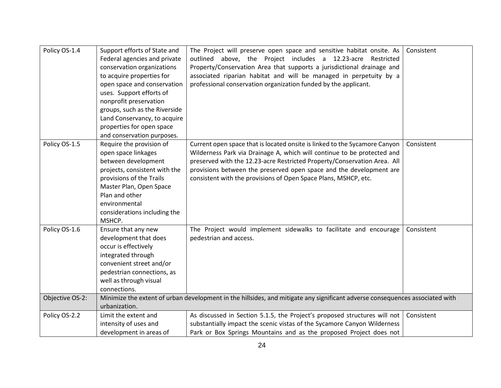| Policy OS-1.4   | Support efforts of State and<br>Federal agencies and private<br>conservation organizations<br>to acquire properties for<br>open space and conservation<br>uses. Support efforts of<br>nonprofit preservation<br>groups, such as the Riverside<br>Land Conservancy, to acquire<br>properties for open space<br>and conservation purposes. | The Project will preserve open space and sensitive habitat onsite. As<br>outlined above, the Project includes a 12.23-acre Restricted<br>Property/Conservation Area that supports a jurisdictional drainage and<br>associated riparian habitat and will be managed in perpetuity by a<br>professional conservation organization funded by the applicant.                    | Consistent |
|-----------------|------------------------------------------------------------------------------------------------------------------------------------------------------------------------------------------------------------------------------------------------------------------------------------------------------------------------------------------|-----------------------------------------------------------------------------------------------------------------------------------------------------------------------------------------------------------------------------------------------------------------------------------------------------------------------------------------------------------------------------|------------|
| Policy OS-1.5   | Require the provision of<br>open space linkages<br>between development<br>projects, consistent with the<br>provisions of the Trails<br>Master Plan, Open Space<br>Plan and other<br>environmental<br>considerations including the<br>MSHCP.                                                                                              | Current open space that is located onsite is linked to the Sycamore Canyon<br>Wilderness Park via Drainage A, which will continue to be protected and<br>preserved with the 12.23-acre Restricted Property/Conservation Area. All<br>provisions between the preserved open space and the development are<br>consistent with the provisions of Open Space Plans, MSHCP, etc. | Consistent |
| Policy OS-1.6   | Ensure that any new<br>development that does<br>occur is effectively<br>integrated through<br>convenient street and/or<br>pedestrian connections, as<br>well as through visual<br>connections.                                                                                                                                           | The Project would implement sidewalks to facilitate and encourage<br>pedestrian and access.                                                                                                                                                                                                                                                                                 | Consistent |
| Objective OS-2: | urbanization.                                                                                                                                                                                                                                                                                                                            | Minimize the extent of urban development in the hillsides, and mitigate any significant adverse consequences associated with                                                                                                                                                                                                                                                |            |
| Policy OS-2.2   | Limit the extent and<br>intensity of uses and<br>development in areas of                                                                                                                                                                                                                                                                 | As discussed in Section 5.1.5, the Project's proposed structures will not<br>substantially impact the scenic vistas of the Sycamore Canyon Wilderness<br>Park or Box Springs Mountains and as the proposed Project does not                                                                                                                                                 | Consistent |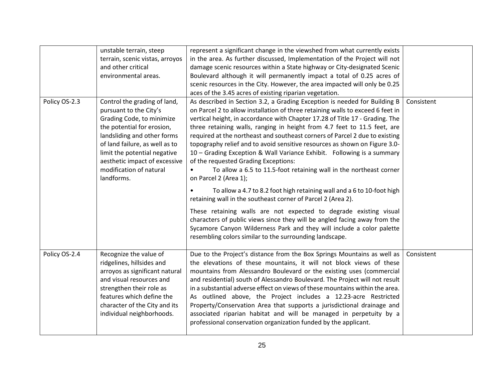|               | unstable terrain, steep<br>terrain, scenic vistas, arroyos<br>and other critical<br>environmental areas.                                                                                                                                                                                     | represent a significant change in the viewshed from what currently exists<br>in the area. As further discussed, Implementation of the Project will not<br>damage scenic resources within a State highway or City-designated Scenic<br>Boulevard although it will permanently impact a total of 0.25 acres of<br>scenic resources in the City. However, the area impacted will only be 0.25<br>aces of the 3.45 acres of existing riparian vegetation.                                                                                                                                                                                                                                                                                                                                                                                                                                                                                                                                                                                                                      |            |
|---------------|----------------------------------------------------------------------------------------------------------------------------------------------------------------------------------------------------------------------------------------------------------------------------------------------|----------------------------------------------------------------------------------------------------------------------------------------------------------------------------------------------------------------------------------------------------------------------------------------------------------------------------------------------------------------------------------------------------------------------------------------------------------------------------------------------------------------------------------------------------------------------------------------------------------------------------------------------------------------------------------------------------------------------------------------------------------------------------------------------------------------------------------------------------------------------------------------------------------------------------------------------------------------------------------------------------------------------------------------------------------------------------|------------|
| Policy OS-2.3 | Control the grading of land,<br>pursuant to the City's<br>Grading Code, to minimize<br>the potential for erosion,<br>landsliding and other forms<br>of land failure, as well as to<br>limit the potential negative<br>aesthetic impact of excessive<br>modification of natural<br>landforms. | As described in Section 3.2, a Grading Exception is needed for Building B<br>on Parcel 2 to allow installation of three retaining walls to exceed 6 feet in<br>vertical height, in accordance with Chapter 17.28 of Title 17 - Grading. The<br>three retaining walls, ranging in height from 4.7 feet to 11.5 feet, are<br>required at the northeast and southeast corners of Parcel 2 due to existing<br>topography relief and to avoid sensitive resources as shown on Figure 3.0-<br>10 - Grading Exception & Wall Variance Exhibit. Following is a summary<br>of the requested Grading Exceptions:<br>To allow a 6.5 to 11.5-foot retaining wall in the northeast corner<br>on Parcel 2 (Area 1);<br>To allow a 4.7 to 8.2 foot high retaining wall and a 6 to 10-foot high<br>retaining wall in the southeast corner of Parcel 2 (Area 2).<br>These retaining walls are not expected to degrade existing visual<br>characters of public views since they will be angled facing away from the<br>Sycamore Canyon Wilderness Park and they will include a color palette | Consistent |
|               |                                                                                                                                                                                                                                                                                              | resembling colors similar to the surrounding landscape.                                                                                                                                                                                                                                                                                                                                                                                                                                                                                                                                                                                                                                                                                                                                                                                                                                                                                                                                                                                                                    |            |
| Policy OS-2.4 | Recognize the value of<br>ridgelines, hillsides and<br>arroyos as significant natural<br>and visual resources and<br>strengthen their role as<br>features which define the<br>character of the City and its<br>individual neighborhoods.                                                     | Due to the Project's distance from the Box Springs Mountains as well as<br>the elevations of these mountains, it will not block views of these<br>mountains from Alessandro Boulevard or the existing uses (commercial<br>and residential) south of Alessandro Boulevard. The Project will not result<br>in a substantial adverse effect on views of these mountains within the area.<br>As outlined above, the Project includes a 12.23-acre Restricted<br>Property/Conservation Area that supports a jurisdictional drainage and<br>associated riparian habitat and will be managed in perpetuity by a<br>professional conservation organization funded by the applicant.                                                                                                                                                                                                                                                                                                                                                                                                | Consistent |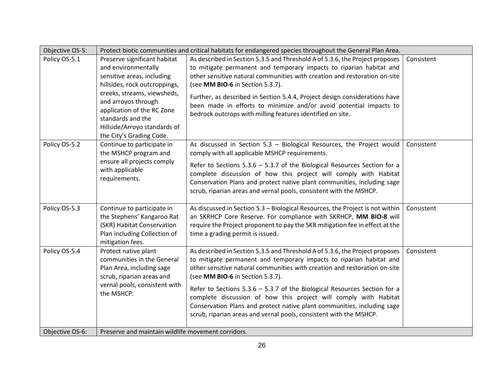| Objective OS-5: | Protect biotic communities and critical habitats for endangered species throughout the General Plan Area.                                                                                                                                                                               |                                                                                                                                                                                                                                                                                                                                                                                                                                                                                                                                                                          |            |  |
|-----------------|-----------------------------------------------------------------------------------------------------------------------------------------------------------------------------------------------------------------------------------------------------------------------------------------|--------------------------------------------------------------------------------------------------------------------------------------------------------------------------------------------------------------------------------------------------------------------------------------------------------------------------------------------------------------------------------------------------------------------------------------------------------------------------------------------------------------------------------------------------------------------------|------------|--|
| Policy OS-5.1   | Preserve significant habitat<br>and environmentally<br>sensitive areas, including<br>hillsides, rock outcroppings,<br>creeks, streams, viewsheds,<br>and arroyos through<br>application of the RC Zone<br>standards and the<br>Hillside/Arroyo standards of<br>the City's Grading Code. | As described in Section 5.3.5 and Threshold A of 5.3.6, the Project proposes<br>to mitigate permanent and temporary impacts to riparian habitat and<br>other sensitive natural communities with creation and restoration on-site<br>(see MM BIO-6 in Section 5.3.7).<br>Further, as described in Section 5.4.4, Project design considerations have<br>been made in efforts to minimize and/or avoid potential impacts to<br>bedrock outcrops with milling features identified on site.                                                                                   | Consistent |  |
| Policy OS-5.2   | Continue to participate in<br>the MSHCP program and<br>ensure all projects comply<br>with applicable<br>requirements.                                                                                                                                                                   | As discussed in Section 5.3 - Biological Resources, the Project would<br>comply with all applicable MSHCP requirements.<br>Refer to Sections $5.3.6 - 5.3.7$ of the Biological Resources Section for a<br>complete discussion of how this project will comply with Habitat<br>Conservation Plans and protect native plant communities, including sage<br>scrub, riparian areas and vernal pools, consistent with the MSHCP.                                                                                                                                              | Consistent |  |
| Policy OS-5.3   | Continue to participate in<br>the Stephens' Kangaroo Rat<br>(SKR) Habitat Conservation<br>Plan including Collection of<br>mitigation fees.                                                                                                                                              | As discussed in Section 5.3 - Biological Resources, the Project is not within<br>an SKRHCP Core Reserve. For compliance with SKRHCP, MM BIO-8 will<br>require the Project proponent to pay the SKR mitigation fee in effect at the<br>time a grading permit is issued.                                                                                                                                                                                                                                                                                                   | Consistent |  |
| Policy OS-5.4   | Protect native plant<br>communities in the General<br>Plan Area, including sage<br>scrub, riparian areas and<br>vernal pools, consistent with<br>the MSHCP.                                                                                                                             | As described in Section 5.3.5 and Threshold A of 5.3.6, the Project proposes<br>to mitigate permanent and temporary impacts to riparian habitat and<br>other sensitive natural communities with creation and restoration on-site<br>(see MM BIO-6 in Section 5.3.7).<br>Refer to Sections $5.3.6 - 5.3.7$ of the Biological Resources Section for a<br>complete discussion of how this project will comply with Habitat<br>Conservation Plans and protect native plant communities, including sage<br>scrub, riparian areas and vernal pools, consistent with the MSHCP. | Consistent |  |
| Objective OS-6: | Preserve and maintain wildlife movement corridors.                                                                                                                                                                                                                                      |                                                                                                                                                                                                                                                                                                                                                                                                                                                                                                                                                                          |            |  |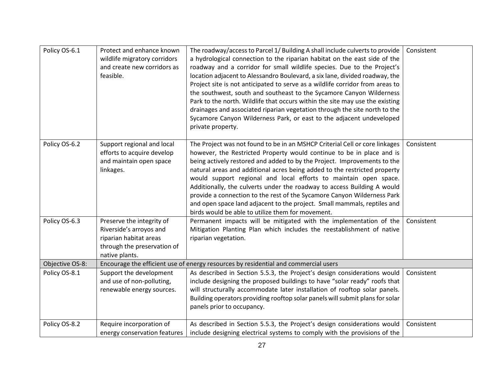| Policy OS-6.1   | Protect and enhance known<br>wildlife migratory corridors<br>and create new corridors as<br>feasible.                           | The roadway/access to Parcel 1/ Building A shall include culverts to provide<br>a hydrological connection to the riparian habitat on the east side of the<br>roadway and a corridor for small wildlife species. Due to the Project's<br>location adjacent to Alessandro Boulevard, a six lane, divided roadway, the<br>Project site is not anticipated to serve as a wildlife corridor from areas to<br>the southwest, south and southeast to the Sycamore Canyon Wilderness<br>Park to the north. Wildlife that occurs within the site may use the existing<br>drainages and associated riparian vegetation through the site north to the<br>Sycamore Canyon Wilderness Park, or east to the adjacent undeveloped<br>private property. | Consistent |
|-----------------|---------------------------------------------------------------------------------------------------------------------------------|-----------------------------------------------------------------------------------------------------------------------------------------------------------------------------------------------------------------------------------------------------------------------------------------------------------------------------------------------------------------------------------------------------------------------------------------------------------------------------------------------------------------------------------------------------------------------------------------------------------------------------------------------------------------------------------------------------------------------------------------|------------|
| Policy OS-6.2   | Support regional and local<br>efforts to acquire develop<br>and maintain open space<br>linkages.                                | The Project was not found to be in an MSHCP Criterial Cell or core linkages<br>however, the Restricted Property would continue to be in place and is<br>being actively restored and added to by the Project. Improvements to the<br>natural areas and additional acres being added to the restricted property<br>would support regional and local efforts to maintain open space.<br>Additionally, the culverts under the roadway to access Building A would<br>provide a connection to the rest of the Sycamore Canyon Wilderness Park<br>and open space land adjacent to the project. Small mammals, reptiles and<br>birds would be able to utilize them for movement.                                                                | Consistent |
| Policy OS-6.3   | Preserve the integrity of<br>Riverside's arroyos and<br>riparian habitat areas<br>through the preservation of<br>native plants. | Permanent impacts will be mitigated with the implementation of the<br>Mitigation Planting Plan which includes the reestablishment of native<br>riparian vegetation.                                                                                                                                                                                                                                                                                                                                                                                                                                                                                                                                                                     | Consistent |
| Objective OS-8: |                                                                                                                                 | Encourage the efficient use of energy resources by residential and commercial users                                                                                                                                                                                                                                                                                                                                                                                                                                                                                                                                                                                                                                                     |            |
| Policy OS-8.1   | Support the development<br>and use of non-polluting,<br>renewable energy sources.                                               | As described in Section 5.5.3, the Project's design considerations would<br>include designing the proposed buildings to have "solar ready" roofs that<br>will structurally accommodate later installation of rooftop solar panels.<br>Building operators providing rooftop solar panels will submit plans for solar<br>panels prior to occupancy.                                                                                                                                                                                                                                                                                                                                                                                       | Consistent |
| Policy OS-8.2   | Require incorporation of<br>energy conservation features                                                                        | As described in Section 5.5.3, the Project's design considerations would<br>include designing electrical systems to comply with the provisions of the                                                                                                                                                                                                                                                                                                                                                                                                                                                                                                                                                                                   | Consistent |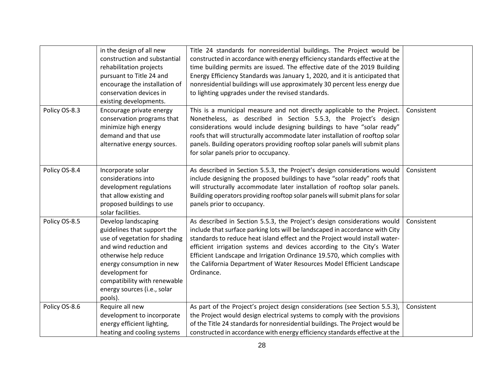|               | in the design of all new<br>construction and substantial<br>rehabilitation projects<br>pursuant to Title 24 and<br>encourage the installation of<br>conservation devices in<br>existing developments.                                                            | Title 24 standards for nonresidential buildings. The Project would be<br>constructed in accordance with energy efficiency standards effective at the<br>time building permits are issued. The effective date of the 2019 Building<br>Energy Efficiency Standards was January 1, 2020, and it is anticipated that<br>nonresidential buildings will use approximately 30 percent less energy due<br>to lighting upgrades under the revised standards.                                   |            |
|---------------|------------------------------------------------------------------------------------------------------------------------------------------------------------------------------------------------------------------------------------------------------------------|---------------------------------------------------------------------------------------------------------------------------------------------------------------------------------------------------------------------------------------------------------------------------------------------------------------------------------------------------------------------------------------------------------------------------------------------------------------------------------------|------------|
| Policy OS-8.3 | Encourage private energy<br>conservation programs that<br>minimize high energy<br>demand and that use<br>alternative energy sources.                                                                                                                             | This is a municipal measure and not directly applicable to the Project.<br>Nonetheless, as described in Section 5.5.3, the Project's design<br>considerations would include designing buildings to have "solar ready"<br>roofs that will structurally accommodate later installation of rooftop solar<br>panels. Building operators providing rooftop solar panels will submit plans<br>for solar panels prior to occupancy.                                                          | Consistent |
| Policy OS-8.4 | Incorporate solar<br>considerations into<br>development regulations<br>that allow existing and<br>proposed buildings to use<br>solar facilities.                                                                                                                 | As described in Section 5.5.3, the Project's design considerations would<br>include designing the proposed buildings to have "solar ready" roofs that<br>will structurally accommodate later installation of rooftop solar panels.<br>Building operators providing rooftop solar panels will submit plans for solar<br>panels prior to occupancy.                                                                                                                                     | Consistent |
| Policy OS-8.5 | Develop landscaping<br>guidelines that support the<br>use of vegetation for shading<br>and wind reduction and<br>otherwise help reduce<br>energy consumption in new<br>development for<br>compatibility with renewable<br>energy sources (i.e., solar<br>pools). | As described in Section 5.5.3, the Project's design considerations would<br>include that surface parking lots will be landscaped in accordance with City<br>standards to reduce heat island effect and the Project would install water-<br>efficient irrigation systems and devices according to the City's Water<br>Efficient Landscape and Irrigation Ordinance 19.570, which complies with<br>the California Department of Water Resources Model Efficient Landscape<br>Ordinance. | Consistent |
| Policy OS-8.6 | Require all new<br>development to incorporate<br>energy efficient lighting,<br>heating and cooling systems                                                                                                                                                       | As part of the Project's project design considerations (see Section 5.5.3),<br>the Project would design electrical systems to comply with the provisions<br>of the Title 24 standards for nonresidential buildings. The Project would be<br>constructed in accordance with energy efficiency standards effective at the                                                                                                                                                               | Consistent |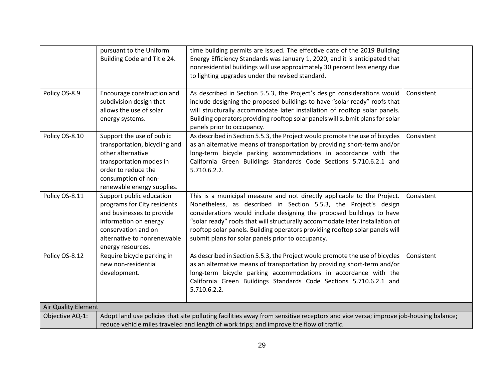|                     | pursuant to the Uniform<br>Building Code and Title 24.                                                                                                                                                                        | time building permits are issued. The effective date of the 2019 Building<br>Energy Efficiency Standards was January 1, 2020, and it is anticipated that<br>nonresidential buildings will use approximately 30 percent less energy due<br>to lighting upgrades under the revised standard.                                                                                                                                                |            |
|---------------------|-------------------------------------------------------------------------------------------------------------------------------------------------------------------------------------------------------------------------------|-------------------------------------------------------------------------------------------------------------------------------------------------------------------------------------------------------------------------------------------------------------------------------------------------------------------------------------------------------------------------------------------------------------------------------------------|------------|
| Policy OS-8.9       | Encourage construction and<br>subdivision design that<br>allows the use of solar<br>energy systems.                                                                                                                           | As described in Section 5.5.3, the Project's design considerations would<br>include designing the proposed buildings to have "solar ready" roofs that<br>will structurally accommodate later installation of rooftop solar panels.<br>Building operators providing rooftop solar panels will submit plans for solar<br>panels prior to occupancy.                                                                                         | Consistent |
| Policy OS-8.10      | Support the use of public<br>transportation, bicycling and<br>other alternative<br>transportation modes in<br>order to reduce the<br>consumption of non-<br>renewable energy supplies.                                        | As described in Section 5.5.3, the Project would promote the use of bicycles<br>as an alternative means of transportation by providing short-term and/or<br>long-term bicycle parking accommodations in accordance with the<br>California Green Buildings Standards Code Sections 5.710.6.2.1 and<br>5.710.6.2.2.                                                                                                                         | Consistent |
| Policy OS-8.11      | Support public education<br>programs for City residents<br>and businesses to provide<br>information on energy<br>conservation and on<br>alternative to nonrenewable<br>energy resources.                                      | This is a municipal measure and not directly applicable to the Project.<br>Nonetheless, as described in Section 5.5.3, the Project's design<br>considerations would include designing the proposed buildings to have<br>"solar ready" roofs that will structurally accommodate later installation of<br>rooftop solar panels. Building operators providing rooftop solar panels will<br>submit plans for solar panels prior to occupancy. | Consistent |
| Policy OS-8.12      | Require bicycle parking in<br>new non-residential<br>development.                                                                                                                                                             | As described in Section 5.5.3, the Project would promote the use of bicycles<br>as an alternative means of transportation by providing short-term and/or<br>long-term bicycle parking accommodations in accordance with the<br>California Green Buildings Standards Code Sections 5.710.6.2.1 and<br>5.710.6.2.2.                                                                                                                         | Consistent |
| Air Quality Element |                                                                                                                                                                                                                               |                                                                                                                                                                                                                                                                                                                                                                                                                                           |            |
| Objective AQ-1:     | Adopt land use policies that site polluting facilities away from sensitive receptors and vice versa; improve job-housing balance;<br>reduce vehicle miles traveled and length of work trips; and improve the flow of traffic. |                                                                                                                                                                                                                                                                                                                                                                                                                                           |            |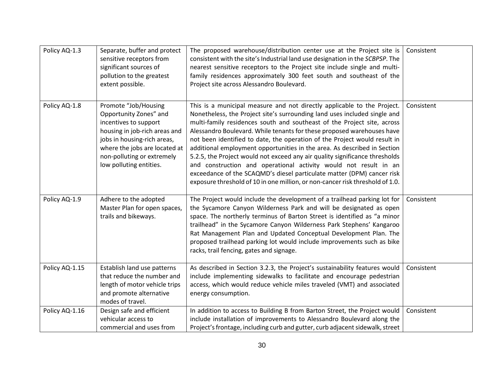| Policy AQ-1.3  | Separate, buffer and protect<br>sensitive receptors from<br>significant sources of                                                                                                                                                | The proposed warehouse/distribution center use at the Project site is<br>consistent with the site's Industrial land use designation in the SCBPSP. The<br>nearest sensitive receptors to the Project site include single and multi-                                                                                                                                                                                                                                                                                                                                                                                                                                                                                                                                              | Consistent |
|----------------|-----------------------------------------------------------------------------------------------------------------------------------------------------------------------------------------------------------------------------------|----------------------------------------------------------------------------------------------------------------------------------------------------------------------------------------------------------------------------------------------------------------------------------------------------------------------------------------------------------------------------------------------------------------------------------------------------------------------------------------------------------------------------------------------------------------------------------------------------------------------------------------------------------------------------------------------------------------------------------------------------------------------------------|------------|
|                | pollution to the greatest<br>extent possible.                                                                                                                                                                                     | family residences approximately 300 feet south and southeast of the<br>Project site across Alessandro Boulevard.                                                                                                                                                                                                                                                                                                                                                                                                                                                                                                                                                                                                                                                                 |            |
|                |                                                                                                                                                                                                                                   |                                                                                                                                                                                                                                                                                                                                                                                                                                                                                                                                                                                                                                                                                                                                                                                  |            |
| Policy AQ-1.8  | Promote "Job/Housing<br>Opportunity Zones" and<br>incentives to support<br>housing in job-rich areas and<br>jobs in housing-rich areas,<br>where the jobs are located at<br>non-polluting or extremely<br>low polluting entities. | This is a municipal measure and not directly applicable to the Project.<br>Nonetheless, the Project site's surrounding land uses included single and<br>multi-family residences south and southeast of the Project site, across<br>Alessandro Boulevard. While tenants for these proposed warehouses have<br>not been identified to date, the operation of the Project would result in<br>additional employment opportunities in the area. As described in Section<br>5.2.5, the Project would not exceed any air quality significance thresholds<br>and construction and operational activity would not result in an<br>exceedance of the SCAQMD's diesel particulate matter (DPM) cancer risk<br>exposure threshold of 10 in one million, or non-cancer risk threshold of 1.0. | Consistent |
| Policy AQ-1.9  | Adhere to the adopted<br>Master Plan for open spaces,<br>trails and bikeways.                                                                                                                                                     | The Project would include the development of a trailhead parking lot for<br>the Sycamore Canyon Wilderness Park and will be designated as open<br>space. The northerly terminus of Barton Street is identified as "a minor<br>trailhead" in the Sycamore Canyon Wilderness Park Stephens' Kangaroo<br>Rat Management Plan and Updated Conceptual Development Plan. The<br>proposed trailhead parking lot would include improvements such as bike<br>racks, trail fencing, gates and signage.                                                                                                                                                                                                                                                                                     | Consistent |
| Policy AQ-1.15 | Establish land use patterns<br>that reduce the number and<br>length of motor vehicle trips<br>and promote alternative<br>modes of travel.                                                                                         | As described in Section 3.2.3, the Project's sustainability features would<br>include implementing sidewalks to facilitate and encourage pedestrian<br>access, which would reduce vehicle miles traveled (VMT) and associated<br>energy consumption.                                                                                                                                                                                                                                                                                                                                                                                                                                                                                                                             | Consistent |
| Policy AQ-1.16 | Design safe and efficient<br>vehicular access to<br>commercial and uses from                                                                                                                                                      | In addition to access to Building B from Barton Street, the Project would<br>include installation of improvements to Alessandro Boulevard along the<br>Project's frontage, including curb and gutter, curb adjacent sidewalk, street                                                                                                                                                                                                                                                                                                                                                                                                                                                                                                                                             | Consistent |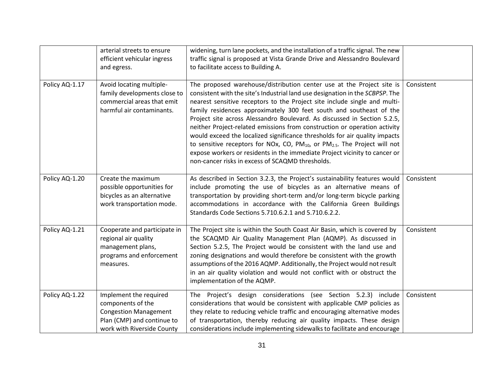|                | arterial streets to ensure<br>efficient vehicular ingress<br>and egress.                                                                | widening, turn lane pockets, and the installation of a traffic signal. The new<br>traffic signal is proposed at Vista Grande Drive and Alessandro Boulevard<br>to facilitate access to Building A.                                                                                                                                                                                                                                                                                                                                                                                                                                                                                                                                                                          |            |
|----------------|-----------------------------------------------------------------------------------------------------------------------------------------|-----------------------------------------------------------------------------------------------------------------------------------------------------------------------------------------------------------------------------------------------------------------------------------------------------------------------------------------------------------------------------------------------------------------------------------------------------------------------------------------------------------------------------------------------------------------------------------------------------------------------------------------------------------------------------------------------------------------------------------------------------------------------------|------------|
| Policy AQ-1.17 | Avoid locating multiple-<br>family developments close to<br>commercial areas that emit<br>harmful air contaminants.                     | The proposed warehouse/distribution center use at the Project site is<br>consistent with the site's Industrial land use designation in the SCBPSP. The<br>nearest sensitive receptors to the Project site include single and multi-<br>family residences approximately 300 feet south and southeast of the<br>Project site across Alessandro Boulevard. As discussed in Section 5.2.5,<br>neither Project-related emissions from construction or operation activity<br>would exceed the localized significance thresholds for air quality impacts<br>to sensitive receptors for NOx, CO, $PM_{10}$ , or $PM_{2.5}$ . The Project will not<br>expose workers or residents in the immediate Project vicinity to cancer or<br>non-cancer risks in excess of SCAQMD thresholds. | Consistent |
| Policy AQ-1.20 | Create the maximum<br>possible opportunities for<br>bicycles as an alternative<br>work transportation mode.                             | As described in Section 3.2.3, the Project's sustainability features would<br>include promoting the use of bicycles as an alternative means of<br>transportation by providing short-term and/or long-term bicycle parking<br>accommodations in accordance with the California Green Buildings<br>Standards Code Sections 5.710.6.2.1 and 5.710.6.2.2.                                                                                                                                                                                                                                                                                                                                                                                                                       | Consistent |
| Policy AQ-1.21 | Cooperate and participate in<br>regional air quality<br>management plans,<br>programs and enforcement<br>measures.                      | The Project site is within the South Coast Air Basin, which is covered by<br>the SCAQMD Air Quality Management Plan (AQMP). As discussed in<br>Section 5.2.5, The Project would be consistent with the land use and<br>zoning designations and would therefore be consistent with the growth<br>assumptions of the 2016 AQMP. Additionally, the Project would not result<br>in an air quality violation and would not conflict with or obstruct the<br>implementation of the AQMP.                                                                                                                                                                                                                                                                                          | Consistent |
| Policy AQ-1.22 | Implement the required<br>components of the<br><b>Congestion Management</b><br>Plan (CMP) and continue to<br>work with Riverside County | The Project's design considerations (see Section 5.2.3) include<br>considerations that would be consistent with applicable CMP policies as<br>they relate to reducing vehicle traffic and encouraging alternative modes<br>of transportation, thereby reducing air quality impacts. These design<br>considerations include implementing sidewalks to facilitate and encourage                                                                                                                                                                                                                                                                                                                                                                                               | Consistent |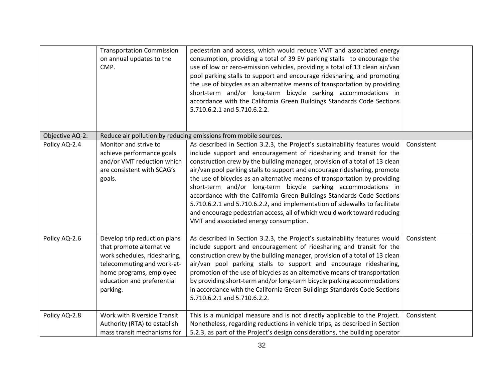|                 | <b>Transportation Commission</b><br>on annual updates to the<br>CMP.                                                                                                                        | pedestrian and access, which would reduce VMT and associated energy<br>consumption, providing a total of 39 EV parking stalls to encourage the<br>use of low or zero-emission vehicles, providing a total of 13 clean air/van<br>pool parking stalls to support and encourage ridesharing, and promoting<br>the use of bicycles as an alternative means of transportation by providing<br>short-term and/or long-term bicycle parking accommodations in<br>accordance with the California Green Buildings Standards Code Sections<br>5.710.6.2.1 and 5.710.6.2.2.                                                                                                                                                                           |            |
|-----------------|---------------------------------------------------------------------------------------------------------------------------------------------------------------------------------------------|---------------------------------------------------------------------------------------------------------------------------------------------------------------------------------------------------------------------------------------------------------------------------------------------------------------------------------------------------------------------------------------------------------------------------------------------------------------------------------------------------------------------------------------------------------------------------------------------------------------------------------------------------------------------------------------------------------------------------------------------|------------|
| Objective AQ-2: |                                                                                                                                                                                             | Reduce air pollution by reducing emissions from mobile sources.                                                                                                                                                                                                                                                                                                                                                                                                                                                                                                                                                                                                                                                                             |            |
| Policy AQ-2.4   | Monitor and strive to<br>achieve performance goals<br>and/or VMT reduction which<br>are consistent with SCAG's<br>goals.                                                                    | As described in Section 3.2.3, the Project's sustainability features would<br>include support and encouragement of ridesharing and transit for the<br>construction crew by the building manager, provision of a total of 13 clean<br>air/van pool parking stalls to support and encourage ridesharing, promote<br>the use of bicycles as an alternative means of transportation by providing<br>short-term and/or long-term bicycle parking accommodations in<br>accordance with the California Green Buildings Standards Code Sections<br>5.710.6.2.1 and 5.710.6.2.2, and implementation of sidewalks to facilitate<br>and encourage pedestrian access, all of which would work toward reducing<br>VMT and associated energy consumption. | Consistent |
| Policy AQ-2.6   | Develop trip reduction plans<br>that promote alternative<br>work schedules, ridesharing,<br>telecommuting and work-at-<br>home programs, employee<br>education and preferential<br>parking. | As described in Section 3.2.3, the Project's sustainability features would<br>include support and encouragement of ridesharing and transit for the<br>construction crew by the building manager, provision of a total of 13 clean<br>air/van pool parking stalls to support and encourage ridesharing,<br>promotion of the use of bicycles as an alternative means of transportation<br>by providing short-term and/or long-term bicycle parking accommodations<br>in accordance with the California Green Buildings Standards Code Sections<br>5.710.6.2.1 and 5.710.6.2.2.                                                                                                                                                                | Consistent |
| Policy AQ-2.8   | Work with Riverside Transit<br>Authority (RTA) to establish<br>mass transit mechanisms for                                                                                                  | This is a municipal measure and is not directly applicable to the Project.<br>Nonetheless, regarding reductions in vehicle trips, as described in Section<br>5.2.3, as part of the Project's design considerations, the building operator                                                                                                                                                                                                                                                                                                                                                                                                                                                                                                   | Consistent |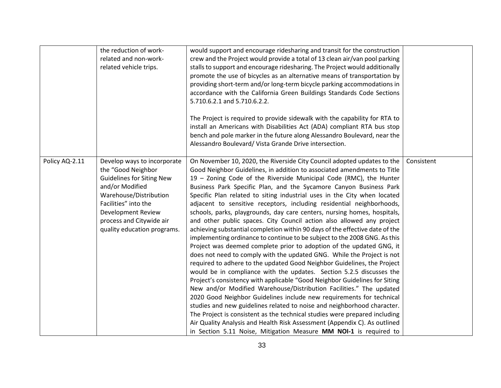|                | the reduction of work-<br>related and non-work-<br>related vehicle trips.                                                                                                                                                                   | would support and encourage ridesharing and transit for the construction<br>crew and the Project would provide a total of 13 clean air/van pool parking<br>stalls to support and encourage ridesharing. The Project would additionally<br>promote the use of bicycles as an alternative means of transportation by<br>providing short-term and/or long-term bicycle parking accommodations in<br>accordance with the California Green Buildings Standards Code Sections<br>5.710.6.2.1 and 5.710.6.2.2.<br>The Project is required to provide sidewalk with the capability for RTA to<br>install an Americans with Disabilities Act (ADA) compliant RTA bus stop<br>bench and pole marker in the future along Alessandro Boulevard, near the<br>Alessandro Boulevard/ Vista Grande Drive intersection.                                                                                                                                                                                                                                                                                                                                                                                                                                                                                                                                                                                                                                                                                                                                                                                                             |            |
|----------------|---------------------------------------------------------------------------------------------------------------------------------------------------------------------------------------------------------------------------------------------|--------------------------------------------------------------------------------------------------------------------------------------------------------------------------------------------------------------------------------------------------------------------------------------------------------------------------------------------------------------------------------------------------------------------------------------------------------------------------------------------------------------------------------------------------------------------------------------------------------------------------------------------------------------------------------------------------------------------------------------------------------------------------------------------------------------------------------------------------------------------------------------------------------------------------------------------------------------------------------------------------------------------------------------------------------------------------------------------------------------------------------------------------------------------------------------------------------------------------------------------------------------------------------------------------------------------------------------------------------------------------------------------------------------------------------------------------------------------------------------------------------------------------------------------------------------------------------------------------------------------|------------|
| Policy AQ-2.11 | Develop ways to incorporate<br>the "Good Neighbor<br><b>Guidelines for Siting New</b><br>and/or Modified<br>Warehouse/Distribution<br>Facilities" into the<br>Development Review<br>process and Citywide air<br>quality education programs. | On November 10, 2020, the Riverside City Council adopted updates to the<br>Good Neighbor Guidelines, in addition to associated amendments to Title<br>19 - Zoning Code of the Riverside Municipal Code (RMC), the Hunter<br>Business Park Specific Plan, and the Sycamore Canyon Business Park<br>Specific Plan related to siting industrial uses in the City when located<br>adjacent to sensitive receptors, including residential neighborhoods,<br>schools, parks, playgrounds, day care centers, nursing homes, hospitals,<br>and other public spaces. City Council action also allowed any project<br>achieving substantial completion within 90 days of the effective date of the<br>implementing ordinance to continue to be subject to the 2008 GNG. As this<br>Project was deemed complete prior to adoption of the updated GNG, it<br>does not need to comply with the updated GNG. While the Project is not<br>required to adhere to the updated Good Neighbor Guidelines, the Project<br>would be in compliance with the updates. Section 5.2.5 discusses the<br>Project's consistency with applicable "Good Neighbor Guidelines for Siting<br>New and/or Modified Warehouse/Distribution Facilities." The updated<br>2020 Good Neighbor Guidelines include new requirements for technical<br>studies and new guidelines related to noise and neighborhood character.<br>The Project is consistent as the technical studies were prepared including<br>Air Quality Analysis and Health Risk Assessment (Appendix C). As outlined<br>in Section 5.11 Noise, Mitigation Measure MM NOI-1 is required to | Consistent |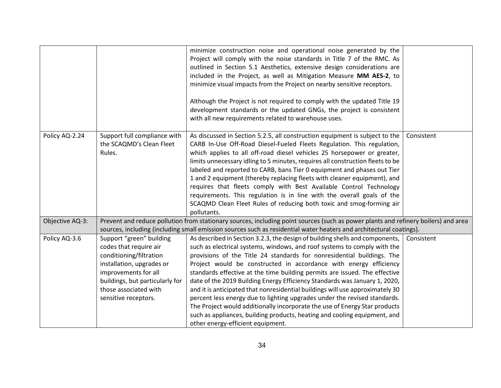|                 |                                                                                                                                                                                                                        | minimize construction noise and operational noise generated by the<br>Project will comply with the noise standards in Title 7 of the RMC. As<br>outlined in Section 5.1 Aesthetics, extensive design considerations are<br>included in the Project, as well as Mitigation Measure MM AES-2, to<br>minimize visual impacts from the Project on nearby sensitive receptors.<br>Although the Project is not required to comply with the updated Title 19<br>development standards or the updated GNGs, the project is consistent<br>with all new requirements related to warehouse uses.                                                                                                                                                                                                                                             |            |
|-----------------|------------------------------------------------------------------------------------------------------------------------------------------------------------------------------------------------------------------------|-----------------------------------------------------------------------------------------------------------------------------------------------------------------------------------------------------------------------------------------------------------------------------------------------------------------------------------------------------------------------------------------------------------------------------------------------------------------------------------------------------------------------------------------------------------------------------------------------------------------------------------------------------------------------------------------------------------------------------------------------------------------------------------------------------------------------------------|------------|
| Policy AQ-2.24  | Support full compliance with<br>the SCAQMD's Clean Fleet<br>Rules.                                                                                                                                                     | As discussed in Section 5.2.5, all construction equipment is subject to the<br>CARB In-Use Off-Road Diesel-Fueled Fleets Regulation. This regulation,<br>which applies to all off-road diesel vehicles 25 horsepower or greater,<br>limits unnecessary idling to 5 minutes, requires all construction fleets to be<br>labeled and reported to CARB, bans Tier 0 equipment and phases out Tier<br>1 and 2 equipment (thereby replacing fleets with cleaner equipment), and<br>requires that fleets comply with Best Available Control Technology<br>requirements. This regulation is in line with the overall goals of the<br>SCAQMD Clean Fleet Rules of reducing both toxic and smog-forming air<br>pollutants.                                                                                                                  | Consistent |
| Objective AQ-3: |                                                                                                                                                                                                                        | Prevent and reduce pollution from stationary sources, including point sources (such as power plants and refinery boilers) and area                                                                                                                                                                                                                                                                                                                                                                                                                                                                                                                                                                                                                                                                                                |            |
|                 |                                                                                                                                                                                                                        | sources, including (including small emission sources such as residential water heaters and architectural coatings).                                                                                                                                                                                                                                                                                                                                                                                                                                                                                                                                                                                                                                                                                                               |            |
| Policy AQ-3.6   | Support "green" building<br>codes that require air<br>conditioning/filtration<br>installation, upgrades or<br>improvements for all<br>buildings, but particularly for<br>those associated with<br>sensitive receptors. | As described in Section 3.2.3, the design of building shells and components,<br>such as electrical systems, windows, and roof systems to comply with the<br>provisions of the Title 24 standards for nonresidential buildings. The<br>Project would be constructed in accordance with energy efficiency<br>standards effective at the time building permits are issued. The effective<br>date of the 2019 Building Energy Efficiency Standards was January 1, 2020,<br>and it is anticipated that nonresidential buildings will use approximately 30<br>percent less energy due to lighting upgrades under the revised standards.<br>The Project would additionally incorporate the use of Energy Star products<br>such as appliances, building products, heating and cooling equipment, and<br>other energy-efficient equipment. | Consistent |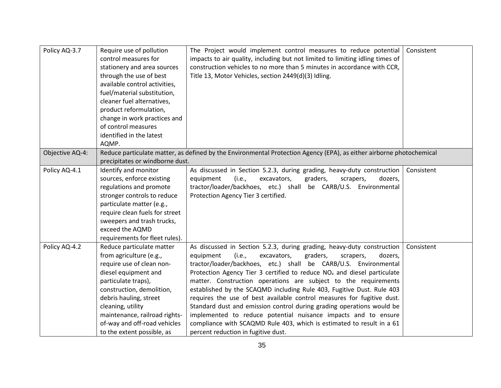| Policy AQ-3.7   | Require use of pollution<br>control measures for<br>stationery and area sources<br>through the use of best<br>available control activities,<br>fuel/material substitution,<br>cleaner fuel alternatives,<br>product reformulation,<br>change in work practices and<br>of control measures<br>identified in the latest<br>AQMP. | The Project would implement control measures to reduce potential<br>impacts to air quality, including but not limited to limiting idling times of<br>construction vehicles to no more than 5 minutes in accordance with CCR,<br>Title 13, Motor Vehicles, section 2449(d)(3) Idling. | Consistent |
|-----------------|--------------------------------------------------------------------------------------------------------------------------------------------------------------------------------------------------------------------------------------------------------------------------------------------------------------------------------|--------------------------------------------------------------------------------------------------------------------------------------------------------------------------------------------------------------------------------------------------------------------------------------|------------|
| Objective AQ-4: |                                                                                                                                                                                                                                                                                                                                | Reduce particulate matter, as defined by the Environmental Protection Agency (EPA), as either airborne photochemical                                                                                                                                                                 |            |
|                 | precipitates or windborne dust.                                                                                                                                                                                                                                                                                                |                                                                                                                                                                                                                                                                                      |            |
| Policy AQ-4.1   | Identify and monitor                                                                                                                                                                                                                                                                                                           | As discussed in Section 5.2.3, during grading, heavy-duty construction                                                                                                                                                                                                               | Consistent |
|                 | sources, enforce existing                                                                                                                                                                                                                                                                                                      | equipment<br>(i.e.,<br>excavators,<br>graders,<br>dozers,<br>scrapers,                                                                                                                                                                                                               |            |
|                 | regulations and promote                                                                                                                                                                                                                                                                                                        | tractor/loader/backhoes, etc.) shall be CARB/U.S. Environmental                                                                                                                                                                                                                      |            |
|                 | stronger controls to reduce                                                                                                                                                                                                                                                                                                    | Protection Agency Tier 3 certified.                                                                                                                                                                                                                                                  |            |
|                 | particulate matter (e.g.,                                                                                                                                                                                                                                                                                                      |                                                                                                                                                                                                                                                                                      |            |
|                 | require clean fuels for street                                                                                                                                                                                                                                                                                                 |                                                                                                                                                                                                                                                                                      |            |
|                 | sweepers and trash trucks,                                                                                                                                                                                                                                                                                                     |                                                                                                                                                                                                                                                                                      |            |
|                 | exceed the AQMD                                                                                                                                                                                                                                                                                                                |                                                                                                                                                                                                                                                                                      |            |
|                 | requirements for fleet rules).                                                                                                                                                                                                                                                                                                 |                                                                                                                                                                                                                                                                                      |            |
| Policy AQ-4.2   | Reduce particulate matter                                                                                                                                                                                                                                                                                                      | As discussed in Section 5.2.3, during grading, heavy-duty construction                                                                                                                                                                                                               | Consistent |
|                 | from agriculture (e.g.,                                                                                                                                                                                                                                                                                                        | equipment<br>(i.e.,<br>excavators,<br>graders,<br>scrapers,<br>dozers,                                                                                                                                                                                                               |            |
|                 | require use of clean non-                                                                                                                                                                                                                                                                                                      | tractor/loader/backhoes, etc.) shall be CARB/U.S. Environmental                                                                                                                                                                                                                      |            |
|                 | diesel equipment and                                                                                                                                                                                                                                                                                                           | Protection Agency Tier 3 certified to reduce $NOx$ and diesel particulate                                                                                                                                                                                                            |            |
|                 | particulate traps),                                                                                                                                                                                                                                                                                                            | matter. Construction operations are subject to the requirements                                                                                                                                                                                                                      |            |
|                 | construction, demolition,                                                                                                                                                                                                                                                                                                      | established by the SCAQMD including Rule 403, Fugitive Dust. Rule 403                                                                                                                                                                                                                |            |
|                 | debris hauling, street                                                                                                                                                                                                                                                                                                         | requires the use of best available control measures for fugitive dust.                                                                                                                                                                                                               |            |
|                 | cleaning, utility                                                                                                                                                                                                                                                                                                              | Standard dust and emission control during grading operations would be                                                                                                                                                                                                                |            |
|                 | maintenance, railroad rights-                                                                                                                                                                                                                                                                                                  | implemented to reduce potential nuisance impacts and to ensure                                                                                                                                                                                                                       |            |
|                 | of-way and off-road vehicles                                                                                                                                                                                                                                                                                                   | compliance with SCAQMD Rule 403, which is estimated to result in a 61                                                                                                                                                                                                                |            |
|                 | to the extent possible, as                                                                                                                                                                                                                                                                                                     | percent reduction in fugitive dust.                                                                                                                                                                                                                                                  |            |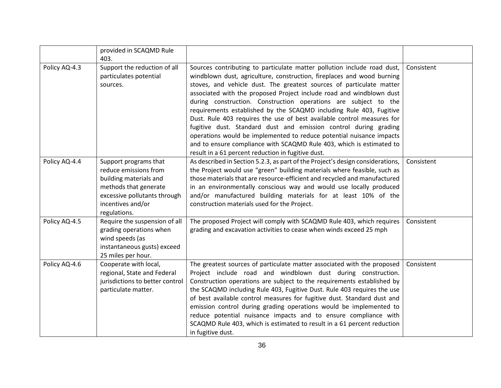|               | provided in SCAQMD Rule<br>403.                                                                                                                                        |                                                                                                                                                                                                                                                                                                                                                                                                                                                                                                                                                                                                                                                                                                                                                                                                 |            |
|---------------|------------------------------------------------------------------------------------------------------------------------------------------------------------------------|-------------------------------------------------------------------------------------------------------------------------------------------------------------------------------------------------------------------------------------------------------------------------------------------------------------------------------------------------------------------------------------------------------------------------------------------------------------------------------------------------------------------------------------------------------------------------------------------------------------------------------------------------------------------------------------------------------------------------------------------------------------------------------------------------|------------|
| Policy AQ-4.3 | Support the reduction of all<br>particulates potential<br>sources.                                                                                                     | Sources contributing to particulate matter pollution include road dust,<br>windblown dust, agriculture, construction, fireplaces and wood burning<br>stoves, and vehicle dust. The greatest sources of particulate matter<br>associated with the proposed Project include road and windblown dust<br>during construction. Construction operations are subject to the<br>requirements established by the SCAQMD including Rule 403, Fugitive<br>Dust. Rule 403 requires the use of best available control measures for<br>fugitive dust. Standard dust and emission control during grading<br>operations would be implemented to reduce potential nuisance impacts<br>and to ensure compliance with SCAQMD Rule 403, which is estimated to<br>result in a 61 percent reduction in fugitive dust. | Consistent |
| Policy AQ-4.4 | Support programs that<br>reduce emissions from<br>building materials and<br>methods that generate<br>excessive pollutants through<br>incentives and/or<br>regulations. | As described in Section 5.2.3, as part of the Project's design considerations,<br>the Project would use "green" building materials where feasible, such as<br>those materials that are resource-efficient and recycled and manufactured<br>in an environmentally conscious way and would use locally produced<br>and/or manufactured building materials for at least 10% of the<br>construction materials used for the Project.                                                                                                                                                                                                                                                                                                                                                                 | Consistent |
| Policy AQ-4.5 | Require the suspension of all<br>grading operations when<br>wind speeds (as<br>instantaneous gusts) exceed<br>25 miles per hour.                                       | The proposed Project will comply with SCAQMD Rule 403, which requires<br>grading and excavation activities to cease when winds exceed 25 mph                                                                                                                                                                                                                                                                                                                                                                                                                                                                                                                                                                                                                                                    | Consistent |
| Policy AQ-4.6 | Cooperate with local,<br>regional, State and Federal<br>jurisdictions to better control<br>particulate matter.                                                         | The greatest sources of particulate matter associated with the proposed<br>Project include road and windblown dust during construction.<br>Construction operations are subject to the requirements established by<br>the SCAQMD including Rule 403, Fugitive Dust. Rule 403 requires the use<br>of best available control measures for fugitive dust. Standard dust and<br>emission control during grading operations would be implemented to<br>reduce potential nuisance impacts and to ensure compliance with<br>SCAQMD Rule 403, which is estimated to result in a 61 percent reduction<br>in fugitive dust.                                                                                                                                                                                | Consistent |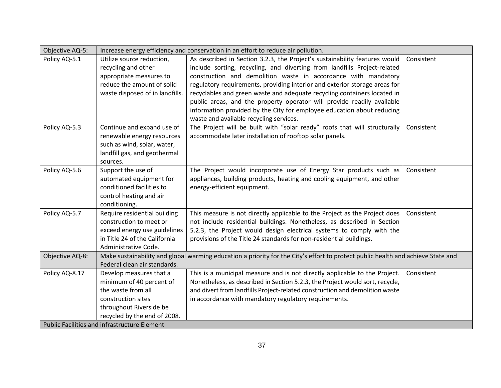| Objective AQ-5: |                                              | Increase energy efficiency and conservation in an effort to reduce air pollution.                                                |            |
|-----------------|----------------------------------------------|----------------------------------------------------------------------------------------------------------------------------------|------------|
| Policy AQ-5.1   | Utilize source reduction,                    | As described in Section 3.2.3, the Project's sustainability features would                                                       | Consistent |
|                 | recycling and other                          | include sorting, recycling, and diverting from landfills Project-related                                                         |            |
|                 | appropriate measures to                      | construction and demolition waste in accordance with mandatory                                                                   |            |
|                 | reduce the amount of solid                   | regulatory requirements, providing interior and exterior storage areas for                                                       |            |
|                 | waste disposed of in landfills.              | recyclables and green waste and adequate recycling containers located in                                                         |            |
|                 |                                              | public areas, and the property operator will provide readily available                                                           |            |
|                 |                                              | information provided by the City for employee education about reducing                                                           |            |
|                 |                                              | waste and available recycling services.                                                                                          |            |
| Policy AQ-5.3   | Continue and expand use of                   | The Project will be built with "solar ready" roofs that will structurally                                                        | Consistent |
|                 | renewable energy resources                   | accommodate later installation of rooftop solar panels.                                                                          |            |
|                 | such as wind, solar, water,                  |                                                                                                                                  |            |
|                 | landfill gas, and geothermal                 |                                                                                                                                  |            |
|                 | sources.                                     |                                                                                                                                  |            |
| Policy AQ-5.6   | Support the use of                           | The Project would incorporate use of Energy Star products such as                                                                | Consistent |
|                 | automated equipment for                      | appliances, building products, heating and cooling equipment, and other                                                          |            |
|                 | conditioned facilities to                    | energy-efficient equipment.                                                                                                      |            |
|                 | control heating and air                      |                                                                                                                                  |            |
|                 | conditioning.                                |                                                                                                                                  |            |
| Policy AQ-5.7   | Require residential building                 | This measure is not directly applicable to the Project as the Project does                                                       | Consistent |
|                 | construction to meet or                      | not include residential buildings. Nonetheless, as described in Section                                                          |            |
|                 | exceed energy use guidelines                 | 5.2.3, the Project would design electrical systems to comply with the                                                            |            |
|                 | in Title 24 of the California                | provisions of the Title 24 standards for non-residential buildings.                                                              |            |
|                 | Administrative Code.                         |                                                                                                                                  |            |
| Objective AQ-8: |                                              | Make sustainability and global warming education a priority for the City's effort to protect public health and achieve State and |            |
|                 | Federal clean air standards.                 |                                                                                                                                  |            |
| Policy AQ-8.17  | Develop measures that a                      | This is a municipal measure and is not directly applicable to the Project.                                                       | Consistent |
|                 | minimum of 40 percent of                     | Nonetheless, as described in Section 5.2.3, the Project would sort, recycle,                                                     |            |
|                 | the waste from all                           | and divert from landfills Project-related construction and demolition waste                                                      |            |
|                 | construction sites                           | in accordance with mandatory regulatory requirements.                                                                            |            |
|                 | throughout Riverside be                      |                                                                                                                                  |            |
|                 | recycled by the end of 2008.                 |                                                                                                                                  |            |
|                 | Public Facilities and infrastructure Element |                                                                                                                                  |            |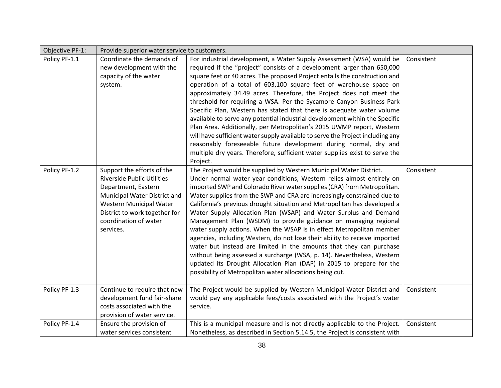| Objective PF-1: | Provide superior water service to customers.                                                                                                                                                                             |                                                                                                                                                                                                                                                                                                                                                                                                                                                                                                                                                                                                                                                                                                                                                                                                                                                                                                                                                                 |            |
|-----------------|--------------------------------------------------------------------------------------------------------------------------------------------------------------------------------------------------------------------------|-----------------------------------------------------------------------------------------------------------------------------------------------------------------------------------------------------------------------------------------------------------------------------------------------------------------------------------------------------------------------------------------------------------------------------------------------------------------------------------------------------------------------------------------------------------------------------------------------------------------------------------------------------------------------------------------------------------------------------------------------------------------------------------------------------------------------------------------------------------------------------------------------------------------------------------------------------------------|------------|
| Policy PF-1.1   | Coordinate the demands of<br>new development with the<br>capacity of the water<br>system.                                                                                                                                | For industrial development, a Water Supply Assessment (WSA) would be<br>required if the "project" consists of a development larger than 650,000<br>square feet or 40 acres. The proposed Project entails the construction and<br>operation of a total of 603,100 square feet of warehouse space on<br>approximately 34.49 acres. Therefore, the Project does not meet the<br>threshold for requiring a WSA. Per the Sycamore Canyon Business Park<br>Specific Plan, Western has stated that there is adequate water volume<br>available to serve any potential industrial development within the Specific<br>Plan Area. Additionally, per Metropolitan's 2015 UWMP report, Western<br>will have sufficient water supply available to serve the Project including any<br>reasonably foreseeable future development during normal, dry and<br>multiple dry years. Therefore, sufficient water supplies exist to serve the<br>Project.                             | Consistent |
| Policy PF-1.2   | Support the efforts of the<br><b>Riverside Public Utilities</b><br>Department, Eastern<br>Municipal Water District and<br>Western Municipal Water<br>District to work together for<br>coordination of water<br>services. | The Project would be supplied by Western Municipal Water District.<br>Under normal water year conditions, Western relies almost entirely on<br>imported SWP and Colorado River water supplies (CRA) from Metropolitan.<br>Water supplies from the SWP and CRA are increasingly constrained due to<br>California's previous drought situation and Metropolitan has developed a<br>Water Supply Allocation Plan (WSAP) and Water Surplus and Demand<br>Management Plan (WSDM) to provide guidance on managing regional<br>water supply actions. When the WSAP is in effect Metropolitan member<br>agencies, including Western, do not lose their ability to receive imported<br>water but instead are limited in the amounts that they can purchase<br>without being assessed a surcharge (WSA, p. 14). Nevertheless, Western<br>updated its Drought Allocation Plan (DAP) in 2015 to prepare for the<br>possibility of Metropolitan water allocations being cut. | Consistent |
| Policy PF-1.3   | Continue to require that new<br>development fund fair-share<br>costs associated with the<br>provision of water service.                                                                                                  | The Project would be supplied by Western Municipal Water District and<br>would pay any applicable fees/costs associated with the Project's water<br>service.                                                                                                                                                                                                                                                                                                                                                                                                                                                                                                                                                                                                                                                                                                                                                                                                    | Consistent |
| Policy PF-1.4   | Ensure the provision of<br>water services consistent                                                                                                                                                                     | This is a municipal measure and is not directly applicable to the Project.<br>Nonetheless, as described in Section 5.14.5, the Project is consistent with                                                                                                                                                                                                                                                                                                                                                                                                                                                                                                                                                                                                                                                                                                                                                                                                       | Consistent |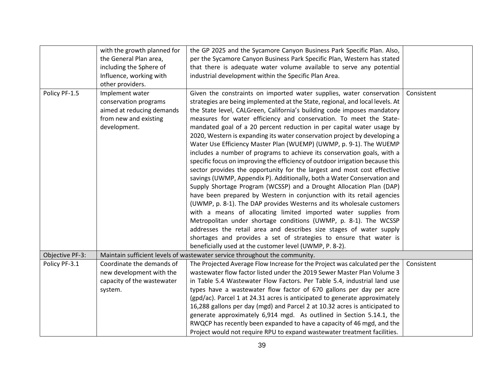|                 | with the growth planned for                                                                                    | the GP 2025 and the Sycamore Canyon Business Park Specific Plan. Also,                                                                                                                                                                                                                                                                                                                                                                                                                                                                                                                                                                                                                                                                                                                                                                                                                                                                                                                                                                                                                                                                                                                                                                                                                      |            |
|-----------------|----------------------------------------------------------------------------------------------------------------|---------------------------------------------------------------------------------------------------------------------------------------------------------------------------------------------------------------------------------------------------------------------------------------------------------------------------------------------------------------------------------------------------------------------------------------------------------------------------------------------------------------------------------------------------------------------------------------------------------------------------------------------------------------------------------------------------------------------------------------------------------------------------------------------------------------------------------------------------------------------------------------------------------------------------------------------------------------------------------------------------------------------------------------------------------------------------------------------------------------------------------------------------------------------------------------------------------------------------------------------------------------------------------------------|------------|
|                 | the General Plan area,                                                                                         | per the Sycamore Canyon Business Park Specific Plan, Western has stated                                                                                                                                                                                                                                                                                                                                                                                                                                                                                                                                                                                                                                                                                                                                                                                                                                                                                                                                                                                                                                                                                                                                                                                                                     |            |
|                 | including the Sphere of                                                                                        | that there is adequate water volume available to serve any potential                                                                                                                                                                                                                                                                                                                                                                                                                                                                                                                                                                                                                                                                                                                                                                                                                                                                                                                                                                                                                                                                                                                                                                                                                        |            |
|                 | Influence, working with                                                                                        | industrial development within the Specific Plan Area.                                                                                                                                                                                                                                                                                                                                                                                                                                                                                                                                                                                                                                                                                                                                                                                                                                                                                                                                                                                                                                                                                                                                                                                                                                       |            |
|                 | other providers.                                                                                               |                                                                                                                                                                                                                                                                                                                                                                                                                                                                                                                                                                                                                                                                                                                                                                                                                                                                                                                                                                                                                                                                                                                                                                                                                                                                                             |            |
| Policy PF-1.5   | Implement water<br>conservation programs<br>aimed at reducing demands<br>from new and existing<br>development. | Given the constraints on imported water supplies, water conservation<br>strategies are being implemented at the State, regional, and local levels. At<br>the State level, CALGreen, California's building code imposes mandatory<br>measures for water efficiency and conservation. To meet the State-<br>mandated goal of a 20 percent reduction in per capital water usage by<br>2020, Western is expanding its water conservation project by developing a<br>Water Use Efficiency Master Plan (WUEMP) (UWMP, p. 9-1). The WUEMP<br>includes a number of programs to achieve its conservation goals, with a<br>specific focus on improving the efficiency of outdoor irrigation because this<br>sector provides the opportunity for the largest and most cost effective<br>savings (UWMP, Appendix P). Additionally, both a Water Conservation and<br>Supply Shortage Program (WCSSP) and a Drought Allocation Plan (DAP)<br>have been prepared by Western in conjunction with its retail agencies<br>(UWMP, p. 8-1). The DAP provides Westerns and its wholesale customers<br>with a means of allocating limited imported water supplies from<br>Metropolitan under shortage conditions (UWMP, p. 8-1). The WCSSP<br>addresses the retail area and describes size stages of water supply | Consistent |
|                 |                                                                                                                | shortages and provides a set of strategies to ensure that water is                                                                                                                                                                                                                                                                                                                                                                                                                                                                                                                                                                                                                                                                                                                                                                                                                                                                                                                                                                                                                                                                                                                                                                                                                          |            |
| Objective PF-3: |                                                                                                                | beneficially used at the customer level (UWMP, P. 8-2).                                                                                                                                                                                                                                                                                                                                                                                                                                                                                                                                                                                                                                                                                                                                                                                                                                                                                                                                                                                                                                                                                                                                                                                                                                     |            |
|                 |                                                                                                                | Maintain sufficient levels of wastewater service throughout the community.                                                                                                                                                                                                                                                                                                                                                                                                                                                                                                                                                                                                                                                                                                                                                                                                                                                                                                                                                                                                                                                                                                                                                                                                                  |            |
| Policy PF-3.1   | Coordinate the demands of                                                                                      | The Projected Average Flow Increase for the Project was calculated per the                                                                                                                                                                                                                                                                                                                                                                                                                                                                                                                                                                                                                                                                                                                                                                                                                                                                                                                                                                                                                                                                                                                                                                                                                  | Consistent |
|                 | new development with the                                                                                       | wastewater flow factor listed under the 2019 Sewer Master Plan Volume 3                                                                                                                                                                                                                                                                                                                                                                                                                                                                                                                                                                                                                                                                                                                                                                                                                                                                                                                                                                                                                                                                                                                                                                                                                     |            |
|                 | capacity of the wastewater                                                                                     | in Table 5.4 Wastewater Flow Factors. Per Table 5.4, industrial land use                                                                                                                                                                                                                                                                                                                                                                                                                                                                                                                                                                                                                                                                                                                                                                                                                                                                                                                                                                                                                                                                                                                                                                                                                    |            |
|                 | system.                                                                                                        | types have a wastewater flow factor of 670 gallons per day per acre                                                                                                                                                                                                                                                                                                                                                                                                                                                                                                                                                                                                                                                                                                                                                                                                                                                                                                                                                                                                                                                                                                                                                                                                                         |            |
|                 |                                                                                                                | (gpd/ac). Parcel 1 at 24.31 acres is anticipated to generate approximately                                                                                                                                                                                                                                                                                                                                                                                                                                                                                                                                                                                                                                                                                                                                                                                                                                                                                                                                                                                                                                                                                                                                                                                                                  |            |
|                 |                                                                                                                | 16,288 gallons per day (mgd) and Parcel 2 at 10.32 acres is anticipated to                                                                                                                                                                                                                                                                                                                                                                                                                                                                                                                                                                                                                                                                                                                                                                                                                                                                                                                                                                                                                                                                                                                                                                                                                  |            |
|                 |                                                                                                                | generate approximately 6,914 mgd. As outlined in Section 5.14.1, the                                                                                                                                                                                                                                                                                                                                                                                                                                                                                                                                                                                                                                                                                                                                                                                                                                                                                                                                                                                                                                                                                                                                                                                                                        |            |
|                 |                                                                                                                | RWQCP has recently been expanded to have a capacity of 46 mgd, and the                                                                                                                                                                                                                                                                                                                                                                                                                                                                                                                                                                                                                                                                                                                                                                                                                                                                                                                                                                                                                                                                                                                                                                                                                      |            |
|                 |                                                                                                                | Project would not require RPU to expand wastewater treatment facilities.                                                                                                                                                                                                                                                                                                                                                                                                                                                                                                                                                                                                                                                                                                                                                                                                                                                                                                                                                                                                                                                                                                                                                                                                                    |            |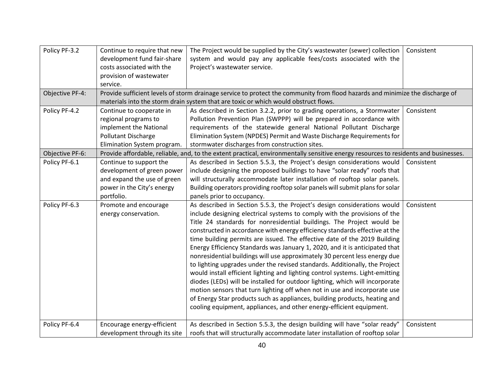| Policy PF-3.2   | Continue to require that new | The Project would be supplied by the City's wastewater (sewer) collection                                                           | Consistent |
|-----------------|------------------------------|-------------------------------------------------------------------------------------------------------------------------------------|------------|
|                 | development fund fair-share  | system and would pay any applicable fees/costs associated with the                                                                  |            |
|                 | costs associated with the    | Project's wastewater service.                                                                                                       |            |
|                 | provision of wastewater      |                                                                                                                                     |            |
|                 | service.                     |                                                                                                                                     |            |
| Objective PF-4: |                              | Provide sufficient levels of storm drainage service to protect the community from flood hazards and minimize the discharge of       |            |
|                 |                              | materials into the storm drain system that are toxic or which would obstruct flows.                                                 |            |
| Policy PF-4.2   | Continue to cooperate in     | As described in Section 3.2.2, prior to grading operations, a Stormwater                                                            | Consistent |
|                 | regional programs to         | Pollution Prevention Plan (SWPPP) will be prepared in accordance with                                                               |            |
|                 | implement the National       | requirements of the statewide general National Pollutant Discharge                                                                  |            |
|                 | Pollutant Discharge          | Elimination System (NPDES) Permit and Waste Discharge Requirements for                                                              |            |
|                 | Elimination System program.  | stormwater discharges from construction sites.                                                                                      |            |
| Objective PF-6: |                              | Provide affordable, reliable, and, to the extent practical, environmentally sensitive energy resources to residents and businesses. |            |
| Policy PF-6.1   | Continue to support the      | As described in Section 5.5.3, the Project's design considerations would                                                            | Consistent |
|                 | development of green power   | include designing the proposed buildings to have "solar ready" roofs that                                                           |            |
|                 | and expand the use of green  | will structurally accommodate later installation of rooftop solar panels.                                                           |            |
|                 | power in the City's energy   | Building operators providing rooftop solar panels will submit plans for solar                                                       |            |
|                 | portfolio.                   | panels prior to occupancy.                                                                                                          |            |
| Policy PF-6.3   | Promote and encourage        | As described in Section 5.5.3, the Project's design considerations would                                                            | Consistent |
|                 | energy conservation.         | include designing electrical systems to comply with the provisions of the                                                           |            |
|                 |                              | Title 24 standards for nonresidential buildings. The Project would be                                                               |            |
|                 |                              | constructed in accordance with energy efficiency standards effective at the                                                         |            |
|                 |                              | time building permits are issued. The effective date of the 2019 Building                                                           |            |
|                 |                              | Energy Efficiency Standards was January 1, 2020, and it is anticipated that                                                         |            |
|                 |                              | nonresidential buildings will use approximately 30 percent less energy due                                                          |            |
|                 |                              | to lighting upgrades under the revised standards. Additionally, the Project                                                         |            |
|                 |                              | would install efficient lighting and lighting control systems. Light-emitting                                                       |            |
|                 |                              | diodes (LEDs) will be installed for outdoor lighting, which will incorporate                                                        |            |
|                 |                              | motion sensors that turn lighting off when not in use and incorporate use                                                           |            |
|                 |                              | of Energy Star products such as appliances, building products, heating and                                                          |            |
|                 |                              | cooling equipment, appliances, and other energy-efficient equipment.                                                                |            |
|                 |                              |                                                                                                                                     |            |
| Policy PF-6.4   | Encourage energy-efficient   | As described in Section 5.5.3, the design building will have "solar ready"                                                          | Consistent |
|                 | development through its site | roofs that will structurally accommodate later installation of rooftop solar                                                        |            |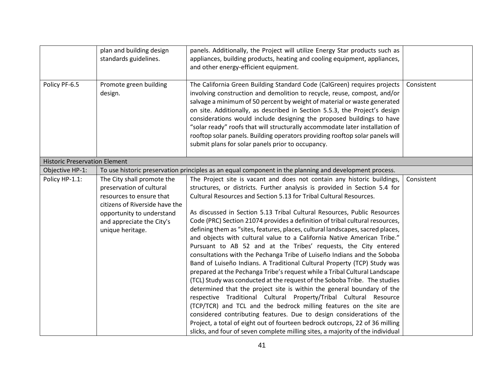|                                      | plan and building design<br>standards guidelines.                                                                    | panels. Additionally, the Project will utilize Energy Star products such as<br>appliances, building products, heating and cooling equipment, appliances,                                                                                                                                                                                                                                                                                                                                                                                                                                                                                                                                                                                                                                                                                                                                                                                                                                                                                                                                                                                                                   |            |
|--------------------------------------|----------------------------------------------------------------------------------------------------------------------|----------------------------------------------------------------------------------------------------------------------------------------------------------------------------------------------------------------------------------------------------------------------------------------------------------------------------------------------------------------------------------------------------------------------------------------------------------------------------------------------------------------------------------------------------------------------------------------------------------------------------------------------------------------------------------------------------------------------------------------------------------------------------------------------------------------------------------------------------------------------------------------------------------------------------------------------------------------------------------------------------------------------------------------------------------------------------------------------------------------------------------------------------------------------------|------------|
|                                      |                                                                                                                      | and other energy-efficient equipment.                                                                                                                                                                                                                                                                                                                                                                                                                                                                                                                                                                                                                                                                                                                                                                                                                                                                                                                                                                                                                                                                                                                                      |            |
| Policy PF-6.5                        | Promote green building<br>design.                                                                                    | The California Green Building Standard Code (CalGreen) requires projects<br>involving construction and demolition to recycle, reuse, compost, and/or<br>salvage a minimum of 50 percent by weight of material or waste generated<br>on site. Additionally, as described in Section 5.5.3, the Project's design<br>considerations would include designing the proposed buildings to have<br>"solar ready" roofs that will structurally accommodate later installation of<br>rooftop solar panels. Building operators providing rooftop solar panels will<br>submit plans for solar panels prior to occupancy.                                                                                                                                                                                                                                                                                                                                                                                                                                                                                                                                                               | Consistent |
| <b>Historic Preservation Element</b> |                                                                                                                      |                                                                                                                                                                                                                                                                                                                                                                                                                                                                                                                                                                                                                                                                                                                                                                                                                                                                                                                                                                                                                                                                                                                                                                            |            |
| Objective HP-1:                      |                                                                                                                      | To use historic preservation principles as an equal component in the planning and development process.                                                                                                                                                                                                                                                                                                                                                                                                                                                                                                                                                                                                                                                                                                                                                                                                                                                                                                                                                                                                                                                                     |            |
| Policy HP-1.1:                       | The City shall promote the<br>preservation of cultural<br>resources to ensure that<br>citizens of Riverside have the | The Project site is vacant and does not contain any historic buildings,<br>structures, or districts. Further analysis is provided in Section 5.4 for<br>Cultural Resources and Section 5.13 for Tribal Cultural Resources.                                                                                                                                                                                                                                                                                                                                                                                                                                                                                                                                                                                                                                                                                                                                                                                                                                                                                                                                                 | Consistent |
|                                      | opportunity to understand<br>and appreciate the City's<br>unique heritage.                                           | As discussed in Section 5.13 Tribal Cultural Resources, Public Resources<br>Code (PRC) Section 21074 provides a definition of tribal cultural resources,<br>defining them as "sites, features, places, cultural landscapes, sacred places,<br>and objects with cultural value to a California Native American Tribe."<br>Pursuant to AB 52 and at the Tribes' requests, the City entered<br>consultations with the Pechanga Tribe of Luiseño Indians and the Soboba<br>Band of Luiseño Indians. A Traditional Cultural Property (TCP) Study was<br>prepared at the Pechanga Tribe's request while a Tribal Cultural Landscape<br>(TCL) Study was conducted at the request of the Soboba Tribe. The studies<br>determined that the project site is within the general boundary of the<br>respective Traditional Cultural Property/Tribal Cultural Resource<br>(TCP/TCR) and TCL and the bedrock milling features on the site are<br>considered contributing features. Due to design considerations of the<br>Project, a total of eight out of fourteen bedrock outcrops, 22 of 36 milling<br>slicks, and four of seven complete milling sites, a majority of the individual |            |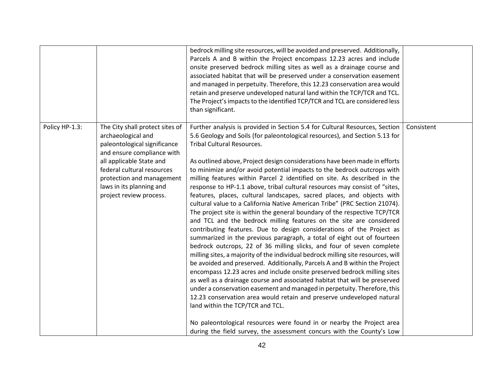|                |                                                                                                                                                                                                                                                                   | bedrock milling site resources, will be avoided and preserved. Additionally,<br>Parcels A and B within the Project encompass 12.23 acres and include<br>onsite preserved bedrock milling sites as well as a drainage course and<br>associated habitat that will be preserved under a conservation easement<br>and managed in perpetuity. Therefore, this 12.23 conservation area would<br>retain and preserve undeveloped natural land within the TCP/TCR and TCL.<br>The Project's impacts to the identified TCP/TCR and TCL are considered less<br>than significant.                                                                                                                                                                                                                                                                                                                                                                                                                                                                                                                                                                                                                                                                                                                                                                                                                                                                                                                                                                                                                                                                                                                                                            |            |
|----------------|-------------------------------------------------------------------------------------------------------------------------------------------------------------------------------------------------------------------------------------------------------------------|-----------------------------------------------------------------------------------------------------------------------------------------------------------------------------------------------------------------------------------------------------------------------------------------------------------------------------------------------------------------------------------------------------------------------------------------------------------------------------------------------------------------------------------------------------------------------------------------------------------------------------------------------------------------------------------------------------------------------------------------------------------------------------------------------------------------------------------------------------------------------------------------------------------------------------------------------------------------------------------------------------------------------------------------------------------------------------------------------------------------------------------------------------------------------------------------------------------------------------------------------------------------------------------------------------------------------------------------------------------------------------------------------------------------------------------------------------------------------------------------------------------------------------------------------------------------------------------------------------------------------------------------------------------------------------------------------------------------------------------|------------|
| Policy HP-1.3: | The City shall protect sites of<br>archaeological and<br>paleontological significance<br>and ensure compliance with<br>all applicable State and<br>federal cultural resources<br>protection and management<br>laws in its planning and<br>project review process. | Further analysis is provided in Section 5.4 for Cultural Resources, Section<br>5.6 Geology and Soils (for paleontological resources), and Section 5.13 for<br><b>Tribal Cultural Resources.</b><br>As outlined above, Project design considerations have been made in efforts<br>to minimize and/or avoid potential impacts to the bedrock outcrops with<br>milling features within Parcel 2 identified on site. As described in the<br>response to HP-1.1 above, tribal cultural resources may consist of "sites,<br>features, places, cultural landscapes, sacred places, and objects with<br>cultural value to a California Native American Tribe" (PRC Section 21074).<br>The project site is within the general boundary of the respective TCP/TCR<br>and TCL and the bedrock milling features on the site are considered<br>contributing features. Due to design considerations of the Project as<br>summarized in the previous paragraph, a total of eight out of fourteen<br>bedrock outcrops, 22 of 36 milling slicks, and four of seven complete<br>milling sites, a majority of the individual bedrock milling site resources, will<br>be avoided and preserved. Additionally, Parcels A and B within the Project<br>encompass 12.23 acres and include onsite preserved bedrock milling sites<br>as well as a drainage course and associated habitat that will be preserved<br>under a conservation easement and managed in perpetuity. Therefore, this<br>12.23 conservation area would retain and preserve undeveloped natural<br>land within the TCP/TCR and TCL.<br>No paleontological resources were found in or nearby the Project area<br>during the field survey, the assessment concurs with the County's Low | Consistent |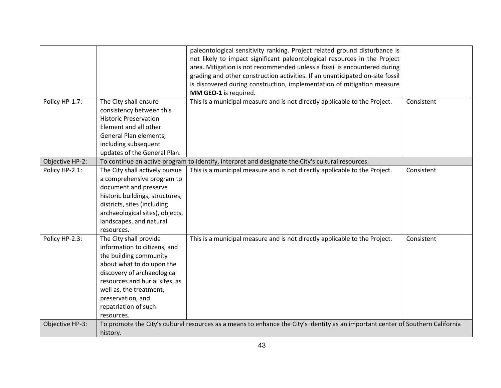|                 |                                                                                                                                                                                                                                                                      | paleontological sensitivity ranking. Project related ground disturbance is<br>not likely to impact significant paleontological resources in the Project<br>area. Mitigation is not recommended unless a fossil is encountered during<br>grading and other construction activities. If an unanticipated on-site fossil<br>is discovered during construction, implementation of mitigation measure |            |
|-----------------|----------------------------------------------------------------------------------------------------------------------------------------------------------------------------------------------------------------------------------------------------------------------|--------------------------------------------------------------------------------------------------------------------------------------------------------------------------------------------------------------------------------------------------------------------------------------------------------------------------------------------------------------------------------------------------|------------|
|                 |                                                                                                                                                                                                                                                                      | MM GEO-1 is required.                                                                                                                                                                                                                                                                                                                                                                            |            |
| Policy HP-1.7:  | The City shall ensure<br>consistency between this<br><b>Historic Preservation</b><br>Element and all other<br>General Plan elements,<br>including subsequent<br>updates of the General Plan.                                                                         | This is a municipal measure and is not directly applicable to the Project.                                                                                                                                                                                                                                                                                                                       | Consistent |
| Objective HP-2: |                                                                                                                                                                                                                                                                      | To continue an active program to identify, interpret and designate the City's cultural resources.                                                                                                                                                                                                                                                                                                |            |
| Policy HP-2.1:  | The City shall actively pursue<br>a comprehensive program to<br>document and preserve<br>historic buildings, structures,<br>districts, sites (including<br>archaeological sites), objects,<br>landscapes, and natural<br>resources.                                  | This is a municipal measure and is not directly applicable to the Project.                                                                                                                                                                                                                                                                                                                       | Consistent |
| Policy HP-2.3:  | The City shall provide<br>information to citizens, and<br>the building community<br>about what to do upon the<br>discovery of archaeological<br>resources and burial sites, as<br>well as, the treatment,<br>preservation, and<br>repatriation of such<br>resources. | This is a municipal measure and is not directly applicable to the Project.                                                                                                                                                                                                                                                                                                                       | Consistent |
| Objective HP-3: | history.                                                                                                                                                                                                                                                             | To promote the City's cultural resources as a means to enhance the City's identity as an important center of Southern California                                                                                                                                                                                                                                                                 |            |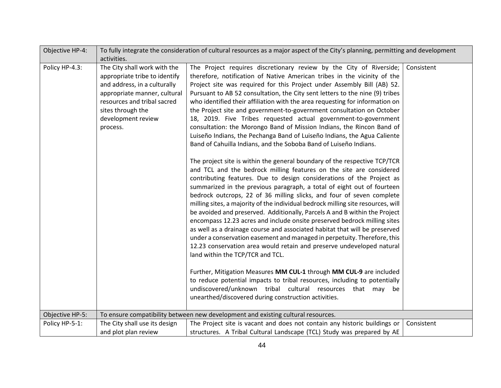| Objective HP-4: |                                                                                                                                                                                                                     | To fully integrate the consideration of cultural resources as a major aspect of the City's planning, permitting and development                                                                                                                                                                                                                                                                                                                                                                                                                                                                                                                                                                                                                                                                                                                                                                                                                                                                                                                                                                                                                                                                                                                                                                                                                                                                                                                                                                                                                                                                                                                                                                                                                                                                                                                                                                                                                    |            |
|-----------------|---------------------------------------------------------------------------------------------------------------------------------------------------------------------------------------------------------------------|----------------------------------------------------------------------------------------------------------------------------------------------------------------------------------------------------------------------------------------------------------------------------------------------------------------------------------------------------------------------------------------------------------------------------------------------------------------------------------------------------------------------------------------------------------------------------------------------------------------------------------------------------------------------------------------------------------------------------------------------------------------------------------------------------------------------------------------------------------------------------------------------------------------------------------------------------------------------------------------------------------------------------------------------------------------------------------------------------------------------------------------------------------------------------------------------------------------------------------------------------------------------------------------------------------------------------------------------------------------------------------------------------------------------------------------------------------------------------------------------------------------------------------------------------------------------------------------------------------------------------------------------------------------------------------------------------------------------------------------------------------------------------------------------------------------------------------------------------------------------------------------------------------------------------------------------------|------------|
|                 | activities.                                                                                                                                                                                                         |                                                                                                                                                                                                                                                                                                                                                                                                                                                                                                                                                                                                                                                                                                                                                                                                                                                                                                                                                                                                                                                                                                                                                                                                                                                                                                                                                                                                                                                                                                                                                                                                                                                                                                                                                                                                                                                                                                                                                    |            |
| Policy HP-4.3:  | The City shall work with the<br>appropriate tribe to identify<br>and address, in a culturally<br>appropriate manner, cultural<br>resources and tribal sacred<br>sites through the<br>development review<br>process. | The Project requires discretionary review by the City of Riverside;<br>therefore, notification of Native American tribes in the vicinity of the<br>Project site was required for this Project under Assembly Bill (AB) 52.<br>Pursuant to AB 52 consultation, the City sent letters to the nine (9) tribes<br>who identified their affiliation with the area requesting for information on<br>the Project site and government-to-government consultation on October<br>18, 2019. Five Tribes requested actual government-to-government<br>consultation: the Morongo Band of Mission Indians, the Rincon Band of<br>Luiseño Indians, the Pechanga Band of Luiseño Indians, the Agua Caliente<br>Band of Cahuilla Indians, and the Soboba Band of Luiseño Indians.<br>The project site is within the general boundary of the respective TCP/TCR<br>and TCL and the bedrock milling features on the site are considered<br>contributing features. Due to design considerations of the Project as<br>summarized in the previous paragraph, a total of eight out of fourteen<br>bedrock outcrops, 22 of 36 milling slicks, and four of seven complete<br>milling sites, a majority of the individual bedrock milling site resources, will<br>be avoided and preserved. Additionally, Parcels A and B within the Project<br>encompass 12.23 acres and include onsite preserved bedrock milling sites<br>as well as a drainage course and associated habitat that will be preserved<br>under a conservation easement and managed in perpetuity. Therefore, this<br>12.23 conservation area would retain and preserve undeveloped natural<br>land within the TCP/TCR and TCL.<br>Further, Mitigation Measures MM CUL-1 through MM CUL-9 are included<br>to reduce potential impacts to tribal resources, including to potentially<br>undiscovered/unknown tribal cultural resources that may<br>be<br>unearthed/discovered during construction activities. | Consistent |
| Objective HP-5: |                                                                                                                                                                                                                     | To ensure compatibility between new development and existing cultural resources.                                                                                                                                                                                                                                                                                                                                                                                                                                                                                                                                                                                                                                                                                                                                                                                                                                                                                                                                                                                                                                                                                                                                                                                                                                                                                                                                                                                                                                                                                                                                                                                                                                                                                                                                                                                                                                                                   |            |
| Policy HP-5-1:  | The City shall use its design                                                                                                                                                                                       | The Project site is vacant and does not contain any historic buildings or                                                                                                                                                                                                                                                                                                                                                                                                                                                                                                                                                                                                                                                                                                                                                                                                                                                                                                                                                                                                                                                                                                                                                                                                                                                                                                                                                                                                                                                                                                                                                                                                                                                                                                                                                                                                                                                                          | Consistent |
|                 | and plot plan review                                                                                                                                                                                                | structures. A Tribal Cultural Landscape (TCL) Study was prepared by AE                                                                                                                                                                                                                                                                                                                                                                                                                                                                                                                                                                                                                                                                                                                                                                                                                                                                                                                                                                                                                                                                                                                                                                                                                                                                                                                                                                                                                                                                                                                                                                                                                                                                                                                                                                                                                                                                             |            |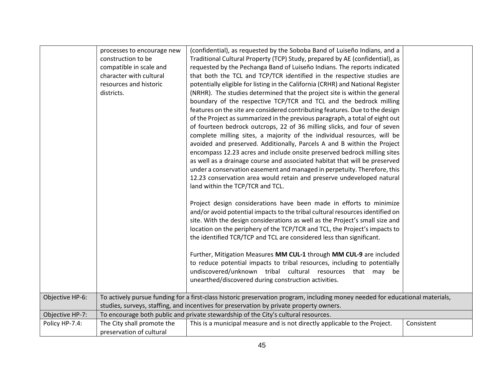|                 | processes to encourage new<br>construction to be<br>compatible in scale and | (confidential), as requested by the Soboba Band of Luiseño Indians, and a<br>Traditional Cultural Property (TCP) Study, prepared by AE (confidential), as<br>requested by the Pechanga Band of Luiseño Indians. The reports indicated                                                                                                                                                      |            |
|-----------------|-----------------------------------------------------------------------------|--------------------------------------------------------------------------------------------------------------------------------------------------------------------------------------------------------------------------------------------------------------------------------------------------------------------------------------------------------------------------------------------|------------|
|                 | character with cultural                                                     | that both the TCL and TCP/TCR identified in the respective studies are                                                                                                                                                                                                                                                                                                                     |            |
|                 | resources and historic                                                      | potentially eligible for listing in the California (CRHR) and National Register                                                                                                                                                                                                                                                                                                            |            |
|                 | districts.                                                                  | (NRHR). The studies determined that the project site is within the general                                                                                                                                                                                                                                                                                                                 |            |
|                 |                                                                             | boundary of the respective TCP/TCR and TCL and the bedrock milling                                                                                                                                                                                                                                                                                                                         |            |
|                 |                                                                             | features on the site are considered contributing features. Due to the design                                                                                                                                                                                                                                                                                                               |            |
|                 |                                                                             | of the Project as summarized in the previous paragraph, a total of eight out                                                                                                                                                                                                                                                                                                               |            |
|                 |                                                                             | of fourteen bedrock outcrops, 22 of 36 milling slicks, and four of seven                                                                                                                                                                                                                                                                                                                   |            |
|                 |                                                                             | complete milling sites, a majority of the individual resources, will be                                                                                                                                                                                                                                                                                                                    |            |
|                 |                                                                             | avoided and preserved. Additionally, Parcels A and B within the Project                                                                                                                                                                                                                                                                                                                    |            |
|                 |                                                                             | encompass 12.23 acres and include onsite preserved bedrock milling sites                                                                                                                                                                                                                                                                                                                   |            |
|                 |                                                                             | as well as a drainage course and associated habitat that will be preserved                                                                                                                                                                                                                                                                                                                 |            |
|                 |                                                                             | under a conservation easement and managed in perpetuity. Therefore, this                                                                                                                                                                                                                                                                                                                   |            |
|                 |                                                                             | 12.23 conservation area would retain and preserve undeveloped natural<br>land within the TCP/TCR and TCL.                                                                                                                                                                                                                                                                                  |            |
|                 |                                                                             |                                                                                                                                                                                                                                                                                                                                                                                            |            |
|                 |                                                                             | Project design considerations have been made in efforts to minimize<br>and/or avoid potential impacts to the tribal cultural resources identified on<br>site. With the design considerations as well as the Project's small size and<br>location on the periphery of the TCP/TCR and TCL, the Project's impacts to<br>the identified TCR/TCP and TCL are considered less than significant. |            |
|                 |                                                                             | Further, Mitigation Measures MM CUL-1 through MM CUL-9 are included<br>to reduce potential impacts to tribal resources, including to potentially<br>undiscovered/unknown tribal cultural resources that may<br>be<br>unearthed/discovered during construction activities.                                                                                                                  |            |
| Objective HP-6: |                                                                             | To actively pursue funding for a first-class historic preservation program, including money needed for educational materials,                                                                                                                                                                                                                                                              |            |
|                 |                                                                             | studies, surveys, staffing, and incentives for preservation by private property owners.                                                                                                                                                                                                                                                                                                    |            |
| Objective HP-7: |                                                                             | To encourage both public and private stewardship of the City's cultural resources.                                                                                                                                                                                                                                                                                                         |            |
| Policy HP-7.4:  | The City shall promote the                                                  | This is a municipal measure and is not directly applicable to the Project.                                                                                                                                                                                                                                                                                                                 | Consistent |
|                 | preservation of cultural                                                    |                                                                                                                                                                                                                                                                                                                                                                                            |            |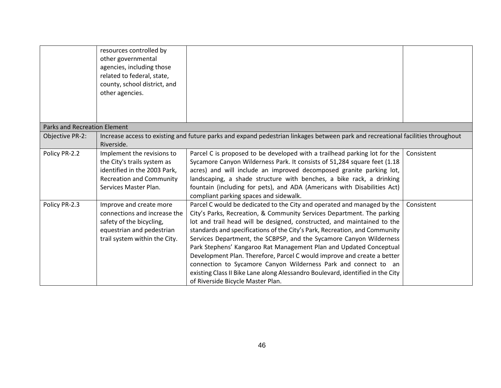|                                     | resources controlled by<br>other governmental<br>agencies, including those<br>related to federal, state,<br>county, school district, and<br>other agencies. |                                                                                                                                                                                                                                                                                                                                                                                                                                                                                                                                                                                                                                                                                                                              |            |
|-------------------------------------|-------------------------------------------------------------------------------------------------------------------------------------------------------------|------------------------------------------------------------------------------------------------------------------------------------------------------------------------------------------------------------------------------------------------------------------------------------------------------------------------------------------------------------------------------------------------------------------------------------------------------------------------------------------------------------------------------------------------------------------------------------------------------------------------------------------------------------------------------------------------------------------------------|------------|
|                                     |                                                                                                                                                             |                                                                                                                                                                                                                                                                                                                                                                                                                                                                                                                                                                                                                                                                                                                              |            |
| <b>Parks and Recreation Element</b> |                                                                                                                                                             |                                                                                                                                                                                                                                                                                                                                                                                                                                                                                                                                                                                                                                                                                                                              |            |
| Objective PR-2:                     | Riverside.                                                                                                                                                  | Increase access to existing and future parks and expand pedestrian linkages between park and recreational facilities throughout                                                                                                                                                                                                                                                                                                                                                                                                                                                                                                                                                                                              |            |
| Policy PR-2.2                       | Implement the revisions to<br>the City's trails system as<br>identified in the 2003 Park,<br><b>Recreation and Community</b><br>Services Master Plan.       | Parcel C is proposed to be developed with a trailhead parking lot for the<br>Sycamore Canyon Wilderness Park. It consists of 51,284 square feet (1.18<br>acres) and will include an improved decomposed granite parking lot,<br>landscaping, a shade structure with benches, a bike rack, a drinking<br>fountain (including for pets), and ADA (Americans with Disabilities Act)<br>compliant parking spaces and sidewalk.                                                                                                                                                                                                                                                                                                   | Consistent |
| Policy PR-2.3                       | Improve and create more<br>connections and increase the<br>safety of the bicycling,<br>equestrian and pedestrian<br>trail system within the City.           | Parcel C would be dedicated to the City and operated and managed by the<br>City's Parks, Recreation, & Community Services Department. The parking<br>lot and trail head will be designed, constructed, and maintained to the<br>standards and specifications of the City's Park, Recreation, and Community<br>Services Department, the SCBPSP, and the Sycamore Canyon Wilderness<br>Park Stephens' Kangaroo Rat Management Plan and Updated Conceptual<br>Development Plan. Therefore, Parcel C would improve and create a better<br>connection to Sycamore Canyon Wilderness Park and connect to an<br>existing Class II Bike Lane along Alessandro Boulevard, identified in the City<br>of Riverside Bicycle Master Plan. | Consistent |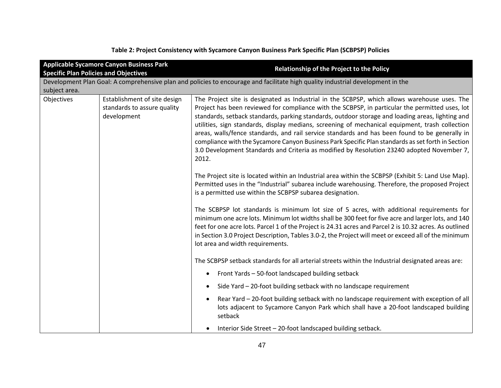|                                              | <b>Applicable Sycamore Canyon Business Park</b>                            | <b>Relationship of the Project to the Policy</b>                                                                                                                                                                                                                                                                                                                                                                                                                                                                                                                                                                                                                                                                     |
|----------------------------------------------|----------------------------------------------------------------------------|----------------------------------------------------------------------------------------------------------------------------------------------------------------------------------------------------------------------------------------------------------------------------------------------------------------------------------------------------------------------------------------------------------------------------------------------------------------------------------------------------------------------------------------------------------------------------------------------------------------------------------------------------------------------------------------------------------------------|
| <b>Specific Plan Policies and Objectives</b> |                                                                            |                                                                                                                                                                                                                                                                                                                                                                                                                                                                                                                                                                                                                                                                                                                      |
|                                              |                                                                            | Development Plan Goal: A comprehensive plan and policies to encourage and facilitate high quality industrial development in the                                                                                                                                                                                                                                                                                                                                                                                                                                                                                                                                                                                      |
| subject area.                                |                                                                            |                                                                                                                                                                                                                                                                                                                                                                                                                                                                                                                                                                                                                                                                                                                      |
| Objectives                                   | Establishment of site design<br>standards to assure quality<br>development | The Project site is designated as Industrial in the SCBPSP, which allows warehouse uses. The<br>Project has been reviewed for compliance with the SCBPSP, in particular the permitted uses, lot<br>standards, setback standards, parking standards, outdoor storage and loading areas, lighting and<br>utilities, sign standards, display medians, screening of mechanical equipment, trash collection<br>areas, walls/fence standards, and rail service standards and has been found to be generally in<br>compliance with the Sycamore Canyon Business Park Specific Plan standards as set forth in Section<br>3.0 Development Standards and Criteria as modified by Resolution 23240 adopted November 7,<br>2012. |
|                                              |                                                                            | The Project site is located within an Industrial area within the SCBPSP (Exhibit 5: Land Use Map).<br>Permitted uses in the "Industrial" subarea include warehousing. Therefore, the proposed Project<br>is a permitted use within the SCBPSP subarea designation.                                                                                                                                                                                                                                                                                                                                                                                                                                                   |
|                                              |                                                                            | The SCBPSP lot standards is minimum lot size of 5 acres, with additional requirements for<br>minimum one acre lots. Minimum lot widths shall be 300 feet for five acre and larger lots, and 140<br>feet for one acre lots. Parcel 1 of the Project is 24.31 acres and Parcel 2 is 10.32 acres. As outlined<br>in Section 3.0 Project Description, Tables 3.0-2, the Project will meet or exceed all of the minimum<br>lot area and width requirements.                                                                                                                                                                                                                                                               |
|                                              |                                                                            | The SCBPSP setback standards for all arterial streets within the Industrial designated areas are:                                                                                                                                                                                                                                                                                                                                                                                                                                                                                                                                                                                                                    |
|                                              |                                                                            | Front Yards - 50-foot landscaped building setback<br>٠                                                                                                                                                                                                                                                                                                                                                                                                                                                                                                                                                                                                                                                               |
|                                              |                                                                            | Side Yard - 20-foot building setback with no landscape requirement                                                                                                                                                                                                                                                                                                                                                                                                                                                                                                                                                                                                                                                   |
|                                              |                                                                            | Rear Yard - 20-foot building setback with no landscape requirement with exception of all<br>lots adjacent to Sycamore Canyon Park which shall have a 20-foot landscaped building<br>setback                                                                                                                                                                                                                                                                                                                                                                                                                                                                                                                          |
|                                              |                                                                            | Interior Side Street - 20-foot landscaped building setback.                                                                                                                                                                                                                                                                                                                                                                                                                                                                                                                                                                                                                                                          |

**Table 2: Project Consistency with Sycamore Canyon Business Park Specific Plan (SCBPSP) Policies**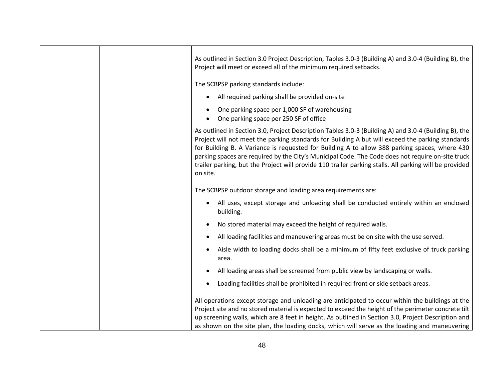| As outlined in Section 3.0 Project Description, Tables 3.0-3 (Building A) and 3.0-4 (Building B), the<br>Project will meet or exceed all of the minimum required setbacks.                                                                                                                                                                                                                                                                                                                                                            |
|---------------------------------------------------------------------------------------------------------------------------------------------------------------------------------------------------------------------------------------------------------------------------------------------------------------------------------------------------------------------------------------------------------------------------------------------------------------------------------------------------------------------------------------|
| The SCBPSP parking standards include:                                                                                                                                                                                                                                                                                                                                                                                                                                                                                                 |
| All required parking shall be provided on-site                                                                                                                                                                                                                                                                                                                                                                                                                                                                                        |
| One parking space per 1,000 SF of warehousing<br>One parking space per 250 SF of office                                                                                                                                                                                                                                                                                                                                                                                                                                               |
| As outlined in Section 3.0, Project Description Tables 3.0-3 (Building A) and 3.0-4 (Building B), the<br>Project will not meet the parking standards for Building A but will exceed the parking standards<br>for Building B. A Variance is requested for Building A to allow 388 parking spaces, where 430<br>parking spaces are required by the City's Municipal Code. The Code does not require on-site truck<br>trailer parking, but the Project will provide 110 trailer parking stalls. All parking will be provided<br>on site. |
| The SCBPSP outdoor storage and loading area requirements are:                                                                                                                                                                                                                                                                                                                                                                                                                                                                         |
| All uses, except storage and unloading shall be conducted entirely within an enclosed<br>building.                                                                                                                                                                                                                                                                                                                                                                                                                                    |
| No stored material may exceed the height of required walls.                                                                                                                                                                                                                                                                                                                                                                                                                                                                           |
| All loading facilities and maneuvering areas must be on site with the use served.                                                                                                                                                                                                                                                                                                                                                                                                                                                     |
| Aisle width to loading docks shall be a minimum of fifty feet exclusive of truck parking<br>area.                                                                                                                                                                                                                                                                                                                                                                                                                                     |
| All loading areas shall be screened from public view by landscaping or walls.                                                                                                                                                                                                                                                                                                                                                                                                                                                         |
| Loading facilities shall be prohibited in required front or side setback areas.                                                                                                                                                                                                                                                                                                                                                                                                                                                       |
| All operations except storage and unloading are anticipated to occur within the buildings at the<br>Project site and no stored material is expected to exceed the height of the perimeter concrete tilt<br>up screening walls, which are 8 feet in height. As outlined in Section 3.0, Project Description and<br>as shown on the site plan, the loading docks, which will serve as the loading and maneuvering                                                                                                                       |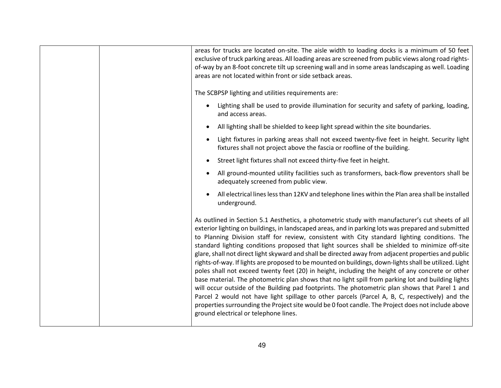| areas for trucks are located on-site. The aisle width to loading docks is a minimum of 50 feet<br>exclusive of truck parking areas. All loading areas are screened from public views along road rights-<br>of-way by an 8-foot concrete tilt up screening wall and in some areas landscaping as well. Loading<br>areas are not located within front or side setback areas.                                                                                                                                                                                                                                                                                                                                                                                                                                                                                                                                                                                                                                                                                                                                                                                                                 |
|--------------------------------------------------------------------------------------------------------------------------------------------------------------------------------------------------------------------------------------------------------------------------------------------------------------------------------------------------------------------------------------------------------------------------------------------------------------------------------------------------------------------------------------------------------------------------------------------------------------------------------------------------------------------------------------------------------------------------------------------------------------------------------------------------------------------------------------------------------------------------------------------------------------------------------------------------------------------------------------------------------------------------------------------------------------------------------------------------------------------------------------------------------------------------------------------|
| The SCBPSP lighting and utilities requirements are:                                                                                                                                                                                                                                                                                                                                                                                                                                                                                                                                                                                                                                                                                                                                                                                                                                                                                                                                                                                                                                                                                                                                        |
| Lighting shall be used to provide illumination for security and safety of parking, loading,<br>$\bullet$<br>and access areas.                                                                                                                                                                                                                                                                                                                                                                                                                                                                                                                                                                                                                                                                                                                                                                                                                                                                                                                                                                                                                                                              |
| All lighting shall be shielded to keep light spread within the site boundaries.                                                                                                                                                                                                                                                                                                                                                                                                                                                                                                                                                                                                                                                                                                                                                                                                                                                                                                                                                                                                                                                                                                            |
| Light fixtures in parking areas shall not exceed twenty-five feet in height. Security light<br>$\bullet$<br>fixtures shall not project above the fascia or roofline of the building.                                                                                                                                                                                                                                                                                                                                                                                                                                                                                                                                                                                                                                                                                                                                                                                                                                                                                                                                                                                                       |
| Street light fixtures shall not exceed thirty-five feet in height.                                                                                                                                                                                                                                                                                                                                                                                                                                                                                                                                                                                                                                                                                                                                                                                                                                                                                                                                                                                                                                                                                                                         |
| All ground-mounted utility facilities such as transformers, back-flow preventors shall be<br>adequately screened from public view.                                                                                                                                                                                                                                                                                                                                                                                                                                                                                                                                                                                                                                                                                                                                                                                                                                                                                                                                                                                                                                                         |
| All electrical lines less than 12KV and telephone lines within the Plan area shall be installed<br>underground.                                                                                                                                                                                                                                                                                                                                                                                                                                                                                                                                                                                                                                                                                                                                                                                                                                                                                                                                                                                                                                                                            |
| As outlined in Section 5.1 Aesthetics, a photometric study with manufacturer's cut sheets of all<br>exterior lighting on buildings, in landscaped areas, and in parking lots was prepared and submitted<br>to Planning Division staff for review, consistent with City standard lighting conditions. The<br>standard lighting conditions proposed that light sources shall be shielded to minimize off-site<br>glare, shall not direct light skyward and shall be directed away from adjacent properties and public<br>rights-of-way. If lights are proposed to be mounted on buildings, down-lights shall be utilized. Light<br>poles shall not exceed twenty feet (20) in height, including the height of any concrete or other<br>base material. The photometric plan shows that no light spill from parking lot and building lights<br>will occur outside of the Building pad footprints. The photometric plan shows that Parel 1 and<br>Parcel 2 would not have light spillage to other parcels (Parcel A, B, C, respectively) and the<br>properties surrounding the Project site would be 0 foot candle. The Project does not include above<br>ground electrical or telephone lines. |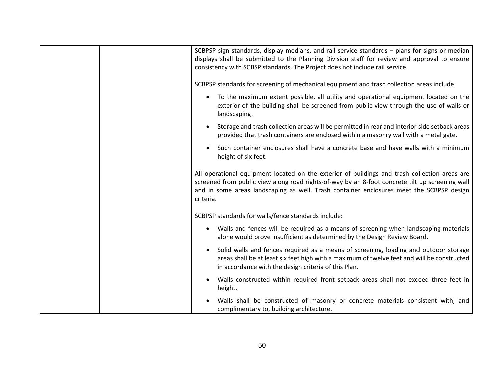| SCBPSP sign standards, display medians, and rail service standards - plans for signs or median<br>displays shall be submitted to the Planning Division staff for review and approval to ensure<br>consistency with SCBSP standards. The Project does not include rail service.                            |
|-----------------------------------------------------------------------------------------------------------------------------------------------------------------------------------------------------------------------------------------------------------------------------------------------------------|
| SCBPSP standards for screening of mechanical equipment and trash collection areas include:                                                                                                                                                                                                                |
| To the maximum extent possible, all utility and operational equipment located on the<br>$\bullet$<br>exterior of the building shall be screened from public view through the use of walls or<br>landscaping.                                                                                              |
| Storage and trash collection areas will be permitted in rear and interior side setback areas<br>$\bullet$<br>provided that trash containers are enclosed within a masonry wall with a metal gate.                                                                                                         |
| Such container enclosures shall have a concrete base and have walls with a minimum<br>height of six feet.                                                                                                                                                                                                 |
| All operational equipment located on the exterior of buildings and trash collection areas are<br>screened from public view along road rights-of-way by an 8-foot concrete tilt up screening wall<br>and in some areas landscaping as well. Trash container enclosures meet the SCBPSP design<br>criteria. |
| SCBPSP standards for walls/fence standards include:                                                                                                                                                                                                                                                       |
| Walls and fences will be required as a means of screening when landscaping materials<br>$\bullet$<br>alone would prove insufficient as determined by the Design Review Board.                                                                                                                             |
| Solid walls and fences required as a means of screening, loading and outdoor storage<br>areas shall be at least six feet high with a maximum of twelve feet and will be constructed<br>in accordance with the design criteria of this Plan.                                                               |
| Walls constructed within required front setback areas shall not exceed three feet in<br>height.                                                                                                                                                                                                           |
| Walls shall be constructed of masonry or concrete materials consistent with, and<br>complimentary to, building architecture.                                                                                                                                                                              |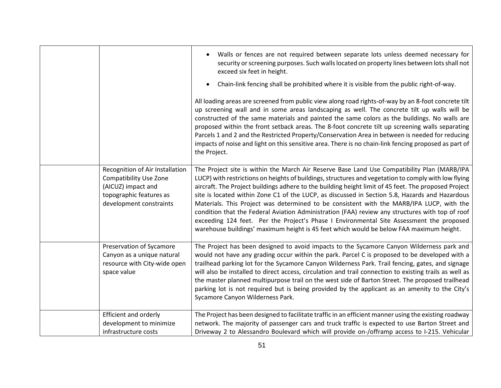|                                                                                                                                              | Walls or fences are not required between separate lots unless deemed necessary for<br>security or screening purposes. Such walls located on property lines between lots shall not<br>exceed six feet in height.<br>Chain-link fencing shall be prohibited where it is visible from the public right-of-way.<br>All loading areas are screened from public view along road rights-of-way by an 8-foot concrete tilt<br>up screening wall and in some areas landscaping as well. The concrete tilt up walls will be<br>constructed of the same materials and painted the same colors as the buildings. No walls are<br>proposed within the front setback areas. The 8-foot concrete tilt up screening walls separating<br>Parcels 1 and 2 and the Restricted Property/Conservation Area in between is needed for reducing<br>impacts of noise and light on this sensitive area. There is no chain-link fencing proposed as part of<br>the Project. |
|----------------------------------------------------------------------------------------------------------------------------------------------|--------------------------------------------------------------------------------------------------------------------------------------------------------------------------------------------------------------------------------------------------------------------------------------------------------------------------------------------------------------------------------------------------------------------------------------------------------------------------------------------------------------------------------------------------------------------------------------------------------------------------------------------------------------------------------------------------------------------------------------------------------------------------------------------------------------------------------------------------------------------------------------------------------------------------------------------------|
| Recognition of Air Installation<br><b>Compatibility Use Zone</b><br>(AICUZ) impact and<br>topographic features as<br>development constraints | The Project site is within the March Air Reserve Base Land Use Compatibility Plan (MARB/IPA<br>LUCP) with restrictions on heights of buildings, structures and vegetation to comply with low flying<br>aircraft. The Project buildings adhere to the building height limit of 45 feet. The proposed Project<br>site is located within Zone C1 of the LUCP, as discussed in Section 5.8, Hazards and Hazardous<br>Materials. This Project was determined to be consistent with the MARB/IPA LUCP, with the<br>condition that the Federal Aviation Administration (FAA) review any structures with top of roof<br>exceeding 124 feet. Per the Project's Phase I Environmental Site Assessment the proposed<br>warehouse buildings' maximum height is 45 feet which would be below FAA maximum height.                                                                                                                                              |
| Preservation of Sycamore<br>Canyon as a unique natural<br>resource with City-wide open<br>space value                                        | The Project has been designed to avoid impacts to the Sycamore Canyon Wilderness park and<br>would not have any grading occur within the park. Parcel C is proposed to be developed with a<br>trailhead parking lot for the Sycamore Canyon Wilderness Park. Trail fencing, gates, and signage<br>will also be installed to direct access, circulation and trail connection to existing trails as well as<br>the master planned multipurpose trail on the west side of Barton Street. The proposed trailhead<br>parking lot is not required but is being provided by the applicant as an amenity to the City's<br>Sycamore Canyon Wilderness Park.                                                                                                                                                                                                                                                                                               |
| Efficient and orderly<br>development to minimize<br>infrastructure costs                                                                     | The Project has been designed to facilitate traffic in an efficient manner using the existing roadway<br>network. The majority of passenger cars and truck traffic is expected to use Barton Street and<br>Driveway 2 to Alessandro Boulevard which will provide on-/offramp access to I-215. Vehicular                                                                                                                                                                                                                                                                                                                                                                                                                                                                                                                                                                                                                                          |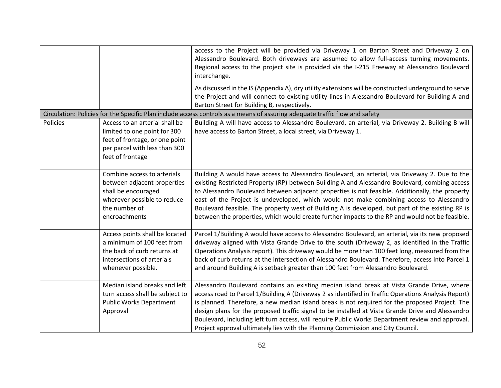|          |                                                                                                                                                       | access to the Project will be provided via Driveway 1 on Barton Street and Driveway 2 on<br>Alessandro Boulevard. Both driveways are assumed to allow full-access turning movements.<br>Regional access to the project site is provided via the I-215 Freeway at Alessandro Boulevard<br>interchange.                                                                                                                                                                                                                                                                                               |
|----------|-------------------------------------------------------------------------------------------------------------------------------------------------------|-----------------------------------------------------------------------------------------------------------------------------------------------------------------------------------------------------------------------------------------------------------------------------------------------------------------------------------------------------------------------------------------------------------------------------------------------------------------------------------------------------------------------------------------------------------------------------------------------------|
|          |                                                                                                                                                       | As discussed in the IS (Appendix A), dry utility extensions will be constructed underground to serve<br>the Project and will connect to existing utility lines in Alessandro Boulevard for Building A and<br>Barton Street for Building B, respectively.                                                                                                                                                                                                                                                                                                                                            |
|          |                                                                                                                                                       | Circulation: Policies for the Specific Plan include access controls as a means of assuring adequate traffic flow and safety                                                                                                                                                                                                                                                                                                                                                                                                                                                                         |
| Policies | Access to an arterial shall be<br>limited to one point for 300<br>feet of frontage, or one point<br>per parcel with less than 300<br>feet of frontage | Building A will have access to Alessandro Boulevard, an arterial, via Driveway 2. Building B will<br>have access to Barton Street, a local street, via Driveway 1.                                                                                                                                                                                                                                                                                                                                                                                                                                  |
|          | Combine access to arterials<br>between adjacent properties<br>shall be encouraged<br>wherever possible to reduce<br>the number of<br>encroachments    | Building A would have access to Alessandro Boulevard, an arterial, via Driveway 2. Due to the<br>existing Restricted Property (RP) between Building A and Alessandro Boulevard, combing access<br>to Alessandro Boulevard between adjacent properties is not feasible. Additionally, the property<br>east of the Project is undeveloped, which would not make combining access to Alessandro<br>Boulevard feasible. The property west of Building A is developed, but part of the existing RP is<br>between the properties, which would create further impacts to the RP and would not be feasible. |
|          | Access points shall be located<br>a minimum of 100 feet from<br>the back of curb returns at<br>intersections of arterials<br>whenever possible.       | Parcel 1/Building A would have access to Alessandro Boulevard, an arterial, via its new proposed<br>driveway aligned with Vista Grande Drive to the south (Driveway 2, as identified in the Traffic<br>Operations Analysis report). This driveway would be more than 100 feet long, measured from the<br>back of curb returns at the intersection of Alessandro Boulevard. Therefore, access into Parcel 1<br>and around Building A is setback greater than 100 feet from Alessandro Boulevard.                                                                                                     |
|          | Median island breaks and left<br>turn access shall be subject to<br><b>Public Works Department</b><br>Approval                                        | Alessandro Boulevard contains an existing median island break at Vista Grande Drive, where<br>access road to Parcel 1/Building A (Driveway 2 as identified in Traffic Operations Analysis Report)<br>is planned. Therefore, a new median island break is not required for the proposed Project. The<br>design plans for the proposed traffic signal to be installed at Vista Grande Drive and Alessandro<br>Boulevard, including left turn access, will require Public Works Department review and approval.<br>Project approval ultimately lies with the Planning Commission and City Council.     |